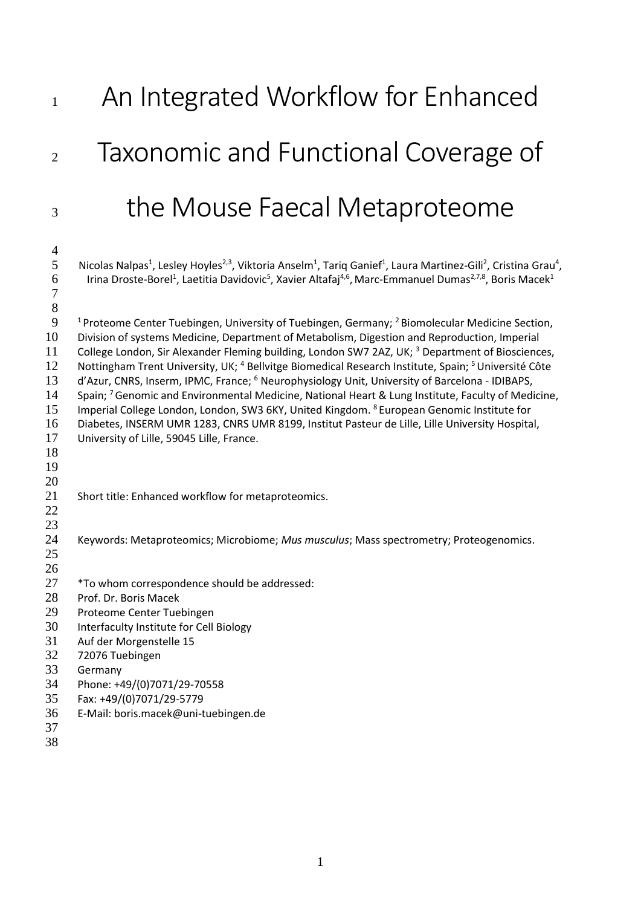# 1 An Integrated Workflow for Enhanced Taxonomic and Functional Coverage of the Mouse Faecal Metaproteome

 5 Nicolas Nalpas<sup>1</sup>, Lesley Hoyles<sup>2,3</sup>, Viktoria Anselm<sup>1</sup>, Tariq Ganief<sup>1</sup>, Laura Martinez-Gili<sup>2</sup>, Cristina Grau<sup>4</sup>, 6 Irina Droste-Borel<sup>1</sup>, Laetitia Davidovic<sup>5</sup>, Xavier Altafaj<sup>4,6</sup>, Marc-Emmanuel Dumas<sup>2,7,8</sup>, Boris Macek<sup>1</sup> 9 <sup>1</sup> Proteome Center Tuebingen, University of Tuebingen, Germany; <sup>2</sup> Biomolecular Medicine Section, Division of systems Medicine, Department of Metabolism, Digestion and Reproduction, Imperial 11 College London, Sir Alexander Fleming building, London SW7 2AZ, UK; <sup>3</sup> Department of Biosciences, 12 Nottingham Trent University, UK; <sup>4</sup> Bellvitge Biomedical Research Institute, Spain; <sup>5</sup> Université Côte d'Azur, CNRS, Inserm, IPMC, France; <sup>6</sup> Neurophysiology Unit, University of Barcelona - IDIBAPS,<br>14 Spain: <sup>7</sup> Genomic and Environmental Medicine. National Heart & Lung Institute. Faculty of Med Spain: <sup>7</sup> Genomic and Environmental Medicine, National Heart & Lung Institute, Faculty of Medicine, 15 Imperial College London, London, SW3 6KY, United Kingdom. <sup>8</sup> European Genomic Institute for Diabetes, INSERM UMR 1283, CNRS UMR 8199, Institut Pasteur de Lille, Lille University Hospital, University of Lille, 59045 Lille, France. Short title: Enhanced workflow for metaproteomics. Keywords: Metaproteomics; Microbiome; *Mus musculus*; Mass spectrometry; Proteogenomics. \*To whom correspondence should be addressed: Prof. Dr. Boris Macek Proteome Center Tuebingen Interfaculty Institute for Cell Biology Auf der Morgenstelle 15 72076 Tuebingen Germany Phone: +49/(0)7071/29-70558 Fax: +49/(0)7071/29-5779 E-Mail: boris.macek@uni-tuebingen.de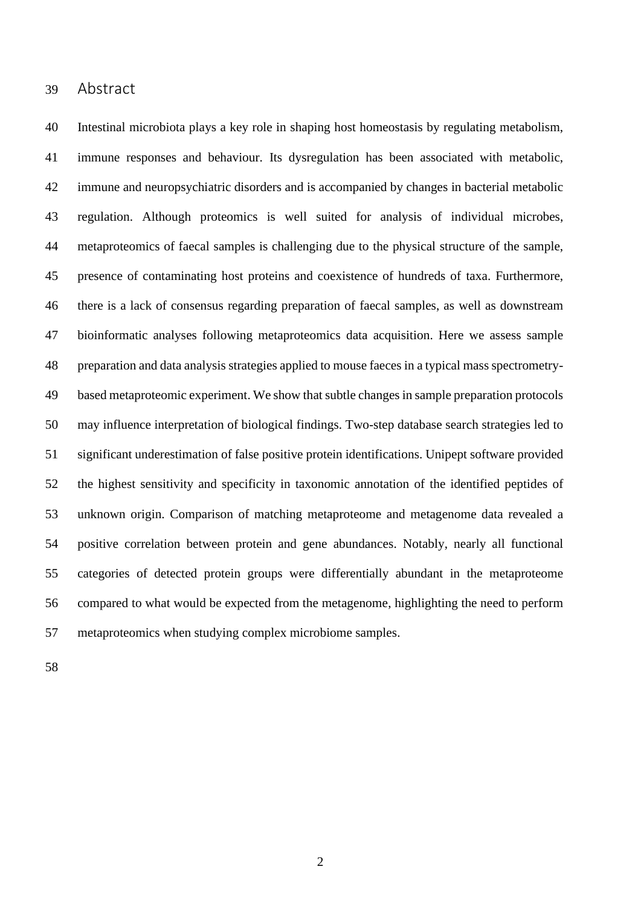## Abstract

 Intestinal microbiota plays a key role in shaping host homeostasis by regulating metabolism, immune responses and behaviour. Its dysregulation has been associated with metabolic, immune and neuropsychiatric disorders and is accompanied by changes in bacterial metabolic regulation. Although proteomics is well suited for analysis of individual microbes, metaproteomics of faecal samples is challenging due to the physical structure of the sample, presence of contaminating host proteins and coexistence of hundreds of taxa. Furthermore, there is a lack of consensus regarding preparation of faecal samples, as well as downstream bioinformatic analyses following metaproteomics data acquisition. Here we assess sample preparation and data analysis strategies applied to mouse faeces in a typical mass spectrometry-49 based metaproteomic experiment. We show that subtle changes in sample preparation protocols may influence interpretation of biological findings. Two-step database search strategies led to significant underestimation of false positive protein identifications. Unipept software provided the highest sensitivity and specificity in taxonomic annotation of the identified peptides of unknown origin. Comparison of matching metaproteome and metagenome data revealed a positive correlation between protein and gene abundances. Notably, nearly all functional categories of detected protein groups were differentially abundant in the metaproteome compared to what would be expected from the metagenome, highlighting the need to perform metaproteomics when studying complex microbiome samples.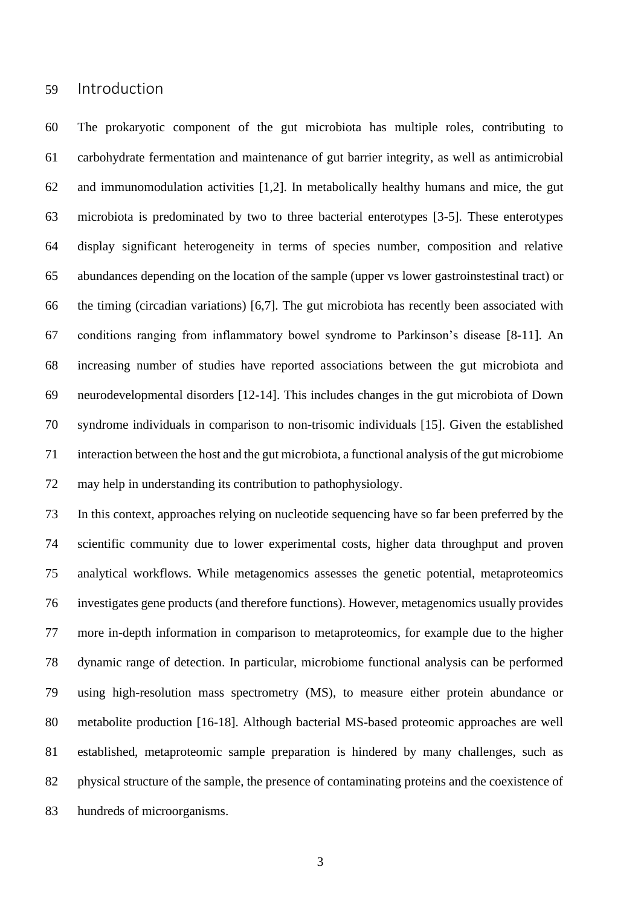## Introduction

 The prokaryotic component of the gut microbiota has multiple roles, contributing to carbohydrate fermentation and maintenance of gut barrier integrity, as well as antimicrobial and immunomodulation activities [1,2]. In metabolically healthy humans and mice, the gut microbiota is predominated by two to three bacterial enterotypes [3-5]. These enterotypes display significant heterogeneity in terms of species number, composition and relative abundances depending on the location of the sample (upper vs lower gastroinstestinal tract) or the timing (circadian variations) [6,7]. The gut microbiota has recently been associated with conditions ranging from inflammatory bowel syndrome to Parkinson's disease [8-11]. An increasing number of studies have reported associations between the gut microbiota and neurodevelopmental disorders [12-14]. This includes changes in the gut microbiota of Down syndrome individuals in comparison to non-trisomic individuals [15]. Given the established interaction between the host and the gut microbiota, a functional analysis of the gut microbiome may help in understanding its contribution to pathophysiology.

 In this context, approaches relying on nucleotide sequencing have so far been preferred by the scientific community due to lower experimental costs, higher data throughput and proven analytical workflows. While metagenomics assesses the genetic potential, metaproteomics investigates gene products (and therefore functions). However, metagenomics usually provides more in-depth information in comparison to metaproteomics, for example due to the higher dynamic range of detection. In particular, microbiome functional analysis can be performed using high-resolution mass spectrometry (MS), to measure either protein abundance or metabolite production [16-18]. Although bacterial MS-based proteomic approaches are well established, metaproteomic sample preparation is hindered by many challenges, such as physical structure of the sample, the presence of contaminating proteins and the coexistence of hundreds of microorganisms.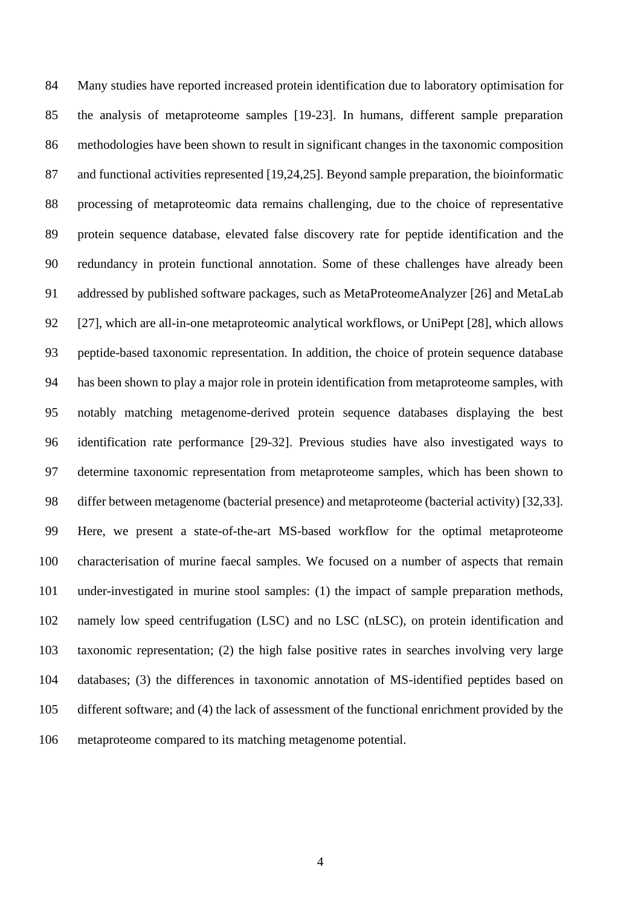Many studies have reported increased protein identification due to laboratory optimisation for the analysis of metaproteome samples [19-23]. In humans, different sample preparation methodologies have been shown to result in significant changes in the taxonomic composition and functional activities represented [19,24,25]. Beyond sample preparation, the bioinformatic processing of metaproteomic data remains challenging, due to the choice of representative protein sequence database, elevated false discovery rate for peptide identification and the redundancy in protein functional annotation. Some of these challenges have already been addressed by published software packages, such as MetaProteomeAnalyzer [26] and MetaLab [27], which are all-in-one metaproteomic analytical workflows, or UniPept [28], which allows peptide-based taxonomic representation. In addition, the choice of protein sequence database has been shown to play a major role in protein identification from metaproteome samples, with notably matching metagenome-derived protein sequence databases displaying the best identification rate performance [29-32]. Previous studies have also investigated ways to determine taxonomic representation from metaproteome samples, which has been shown to differ between metagenome (bacterial presence) and metaproteome (bacterial activity) [32,33]. Here, we present a state-of-the-art MS-based workflow for the optimal metaproteome characterisation of murine faecal samples. We focused on a number of aspects that remain under-investigated in murine stool samples: (1) the impact of sample preparation methods, namely low speed centrifugation (LSC) and no LSC (nLSC), on protein identification and taxonomic representation; (2) the high false positive rates in searches involving very large databases; (3) the differences in taxonomic annotation of MS-identified peptides based on different software; and (4) the lack of assessment of the functional enrichment provided by the metaproteome compared to its matching metagenome potential.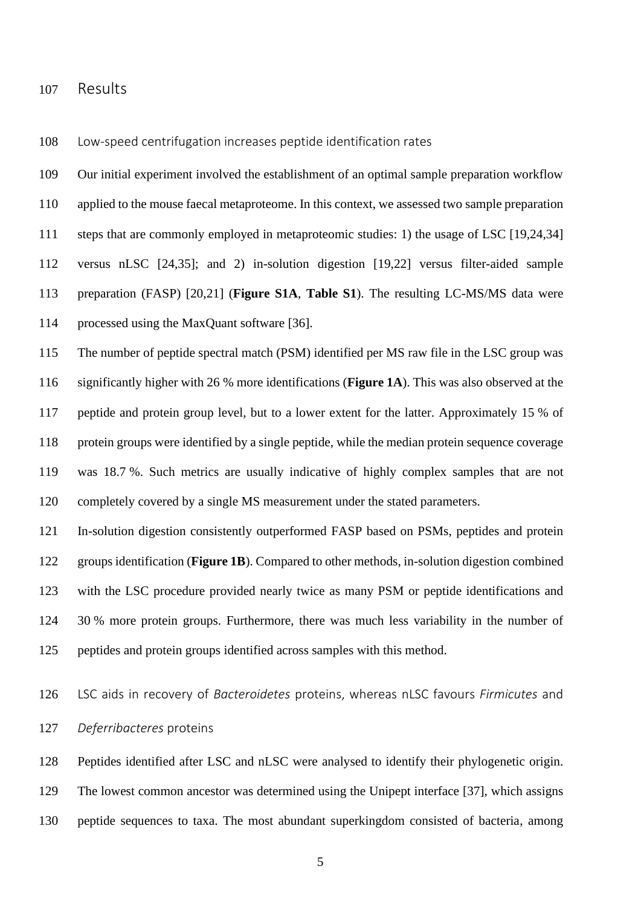#### Results

Low-speed centrifugation increases peptide identification rates

 Our initial experiment involved the establishment of an optimal sample preparation workflow applied to the mouse faecal metaproteome. In this context, we assessed two sample preparation steps that are commonly employed in metaproteomic studies: 1) the usage of LSC [19,24,34] versus nLSC [24,35]; and 2) in-solution digestion [19,22] versus filter-aided sample preparation (FASP) [20,21] (**Figure S1A**, **Table S1**). The resulting LC-MS/MS data were processed using the MaxQuant software [36]. The number of peptide spectral match (PSM) identified per MS raw file in the LSC group was significantly higher with 26 % more identifications (**Figure 1A**). This was also observed at the

 peptide and protein group level, but to a lower extent for the latter. Approximately 15 % of protein groups were identified by a single peptide, while the median protein sequence coverage was 18.7 %. Such metrics are usually indicative of highly complex samples that are not completely covered by a single MS measurement under the stated parameters.

 In-solution digestion consistently outperformed FASP based on PSMs, peptides and protein groups identification (**Figure 1B**). Compared to other methods, in-solution digestion combined with the LSC procedure provided nearly twice as many PSM or peptide identifications and 30 % more protein groups. Furthermore, there was much less variability in the number of peptides and protein groups identified across samples with this method.

 LSC aids in recovery of *Bacteroidetes* proteins, whereas nLSC favours *Firmicutes* and *Deferribacteres* proteins

 Peptides identified after LSC and nLSC were analysed to identify their phylogenetic origin. The lowest common ancestor was determined using the Unipept interface [37], which assigns peptide sequences to taxa. The most abundant superkingdom consisted of bacteria, among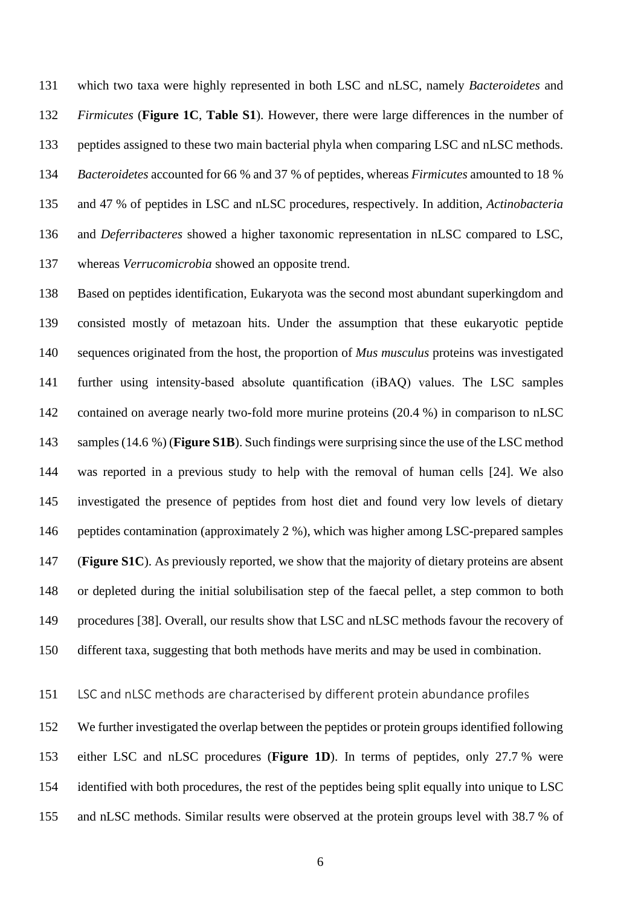which two taxa were highly represented in both LSC and nLSC, namely *Bacteroidetes* and *Firmicutes* (**Figure 1C**, **Table S1**). However, there were large differences in the number of peptides assigned to these two main bacterial phyla when comparing LSC and nLSC methods. *Bacteroidetes* accounted for 66 % and 37 % of peptides, whereas *Firmicutes* amounted to 18 % and 47 % of peptides in LSC and nLSC procedures, respectively. In addition, *Actinobacteria* and *Deferribacteres* showed a higher taxonomic representation in nLSC compared to LSC, whereas *Verrucomicrobia* showed an opposite trend.

 Based on peptides identification, Eukaryota was the second most abundant superkingdom and consisted mostly of metazoan hits. Under the assumption that these eukaryotic peptide sequences originated from the host, the proportion of *Mus musculus* proteins was investigated further using intensity-based absolute quantification (iBAQ) values. The LSC samples 142 contained on average nearly two-fold more murine proteins (20.4 %) in comparison to nLSC samples (14.6 %) (**Figure S1B**). Such findings were surprising since the use of the LSC method was reported in a previous study to help with the removal of human cells [24]. We also investigated the presence of peptides from host diet and found very low levels of dietary peptides contamination (approximately 2 %), which was higher among LSC-prepared samples (**Figure S1C**). As previously reported, we show that the majority of dietary proteins are absent or depleted during the initial solubilisation step of the faecal pellet, a step common to both procedures [38]. Overall, our results show that LSC and nLSC methods favour the recovery of different taxa, suggesting that both methods have merits and may be used in combination.

# LSC and nLSC methods are characterised by different protein abundance profiles

 We further investigated the overlap between the peptides or protein groups identified following either LSC and nLSC procedures (**Figure 1D**). In terms of peptides, only 27.7 % were 154 identified with both procedures, the rest of the peptides being split equally into unique to LSC and nLSC methods. Similar results were observed at the protein groups level with 38.7 % of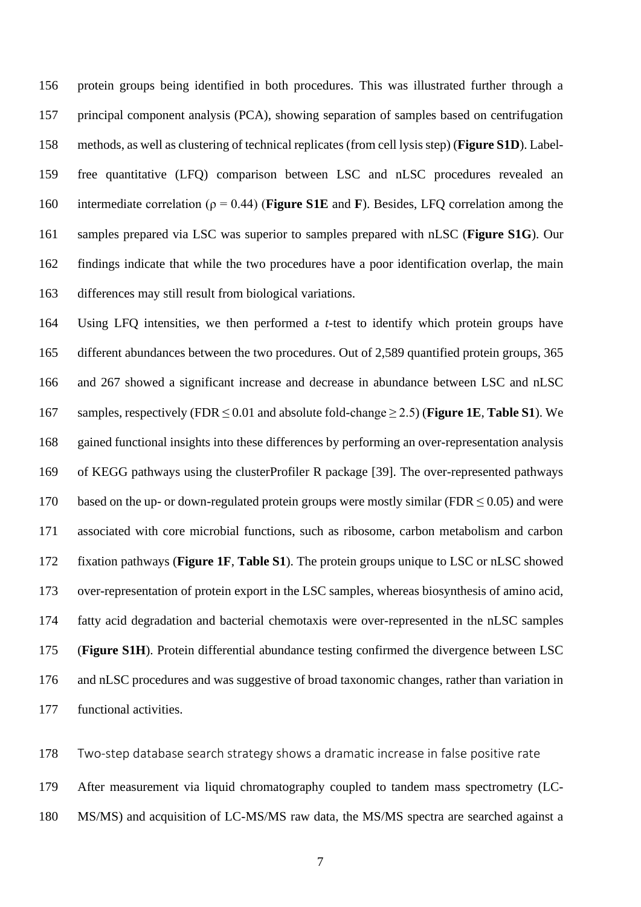protein groups being identified in both procedures. This was illustrated further through a principal component analysis (PCA), showing separation of samples based on centrifugation methods, as well as clustering of technical replicates (from cell lysis step) (**Figure S1D**). Label- free quantitative (LFQ) comparison between LSC and nLSC procedures revealed an intermediate correlation (ρ = 0.44) (**Figure S1E** and **F**). Besides, LFQ correlation among the samples prepared via LSC was superior to samples prepared with nLSC (**Figure S1G**). Our findings indicate that while the two procedures have a poor identification overlap, the main differences may still result from biological variations.

 Using LFQ intensities, we then performed a *t*-test to identify which protein groups have different abundances between the two procedures. Out of 2,589 quantified protein groups, 365 and 267 showed a significant increase and decrease in abundance between LSC and nLSC samples, respectively (FDR ≤ 0.01 and absolute fold-change ≥ 2.5) (**Figure 1E**, **Table S1**). We gained functional insights into these differences by performing an over-representation analysis of KEGG pathways using the clusterProfiler R package [39]. The over-represented pathways 170 based on the up- or down-regulated protein groups were mostly similar (FDR  $\leq$  0.05) and were associated with core microbial functions, such as ribosome, carbon metabolism and carbon fixation pathways (**Figure 1F**, **Table S1**). The protein groups unique to LSC or nLSC showed over-representation of protein export in the LSC samples, whereas biosynthesis of amino acid, fatty acid degradation and bacterial chemotaxis were over-represented in the nLSC samples (**Figure S1H**). Protein differential abundance testing confirmed the divergence between LSC and nLSC procedures and was suggestive of broad taxonomic changes, rather than variation in functional activities.

Two-step database search strategy shows a dramatic increase in false positive rate

After measurement via liquid chromatography coupled to tandem mass spectrometry (LC-

MS/MS) and acquisition of LC-MS/MS raw data, the MS/MS spectra are searched against a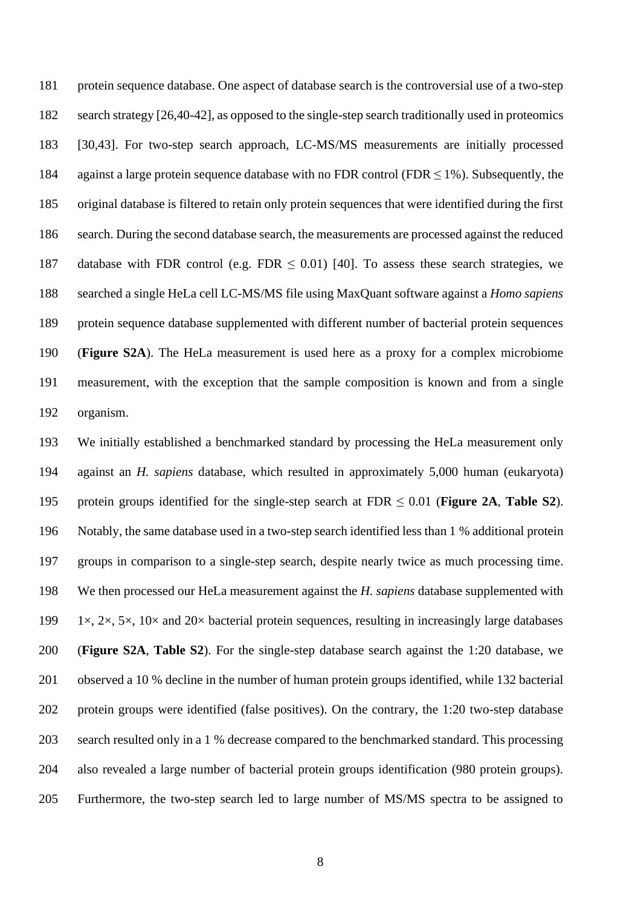protein sequence database. One aspect of database search is the controversial use of a two-step search strategy [26,40-42], as opposed to the single-step search traditionally used in proteomics [30,43]. For two-step search approach, LC-MS/MS measurements are initially processed 184 against a large protein sequence database with no FDR control (FDR  $\leq$  1%). Subsequently, the original database is filtered to retain only protein sequences that were identified during the first search. During the second database search, the measurements are processed against the reduced 187 database with FDR control (e.g. FDR  $\leq$  0.01) [40]. To assess these search strategies, we searched a single HeLa cell LC-MS/MS file using MaxQuant software against a *Homo sapiens* protein sequence database supplemented with different number of bacterial protein sequences (**Figure S2A**). The HeLa measurement is used here as a proxy for a complex microbiome measurement, with the exception that the sample composition is known and from a single organism.

 We initially established a benchmarked standard by processing the HeLa measurement only against an *H. sapiens* database, which resulted in approximately 5,000 human (eukaryota) protein groups identified for the single-step search at FDR ≤ 0.01 (**Figure 2A**, **Table S2**). Notably, the same database used in a two-step search identified less than 1 % additional protein groups in comparison to a single-step search, despite nearly twice as much processing time. We then processed our HeLa measurement against the *H. sapiens* database supplemented with 199 1×, 2×, 5×, 10× and 20× bacterial protein sequences, resulting in increasingly large databases (**Figure S2A**, **Table S2**). For the single-step database search against the 1:20 database, we observed a 10 % decline in the number of human protein groups identified, while 132 bacterial protein groups were identified (false positives). On the contrary, the 1:20 two-step database search resulted only in a 1 % decrease compared to the benchmarked standard. This processing also revealed a large number of bacterial protein groups identification (980 protein groups). Furthermore, the two-step search led to large number of MS/MS spectra to be assigned to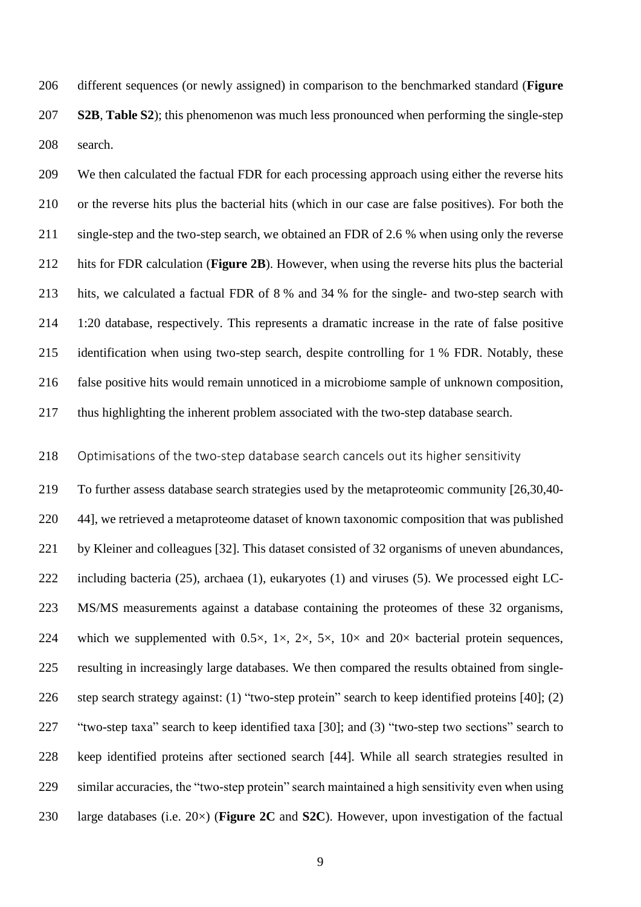different sequences (or newly assigned) in comparison to the benchmarked standard (**Figure S2B**, **Table S2**); this phenomenon was much less pronounced when performing the single-step search.

 We then calculated the factual FDR for each processing approach using either the reverse hits or the reverse hits plus the bacterial hits (which in our case are false positives). For both the single-step and the two-step search, we obtained an FDR of 2.6 % when using only the reverse hits for FDR calculation (**Figure 2B**). However, when using the reverse hits plus the bacterial hits, we calculated a factual FDR of 8 % and 34 % for the single- and two-step search with 1:20 database, respectively. This represents a dramatic increase in the rate of false positive identification when using two-step search, despite controlling for 1 % FDR. Notably, these false positive hits would remain unnoticed in a microbiome sample of unknown composition, thus highlighting the inherent problem associated with the two-step database search.

## Optimisations of the two-step database search cancels out its higher sensitivity

 To further assess database search strategies used by the metaproteomic community [26,30,40- 44], we retrieved a metaproteome dataset of known taxonomic composition that was published by Kleiner and colleagues [32]. This dataset consisted of 32 organisms of uneven abundances, including bacteria (25), archaea (1), eukaryotes (1) and viruses (5). We processed eight LC- MS/MS measurements against a database containing the proteomes of these 32 organisms, 224 which we supplemented with  $0.5 \times$ ,  $1 \times$ ,  $2 \times$ ,  $5 \times$ ,  $10 \times$  and  $20 \times$  bacterial protein sequences, resulting in increasingly large databases. We then compared the results obtained from single- step search strategy against: (1) "two-step protein" search to keep identified proteins [40]; (2) "two-step taxa" search to keep identified taxa [30]; and (3) "two-step two sections" search to keep identified proteins after sectioned search [44]. While all search strategies resulted in similar accuracies, the "two-step protein" search maintained a high sensitivity even when using large databases (i.e. 20×) (**Figure 2C** and **S2C**). However, upon investigation of the factual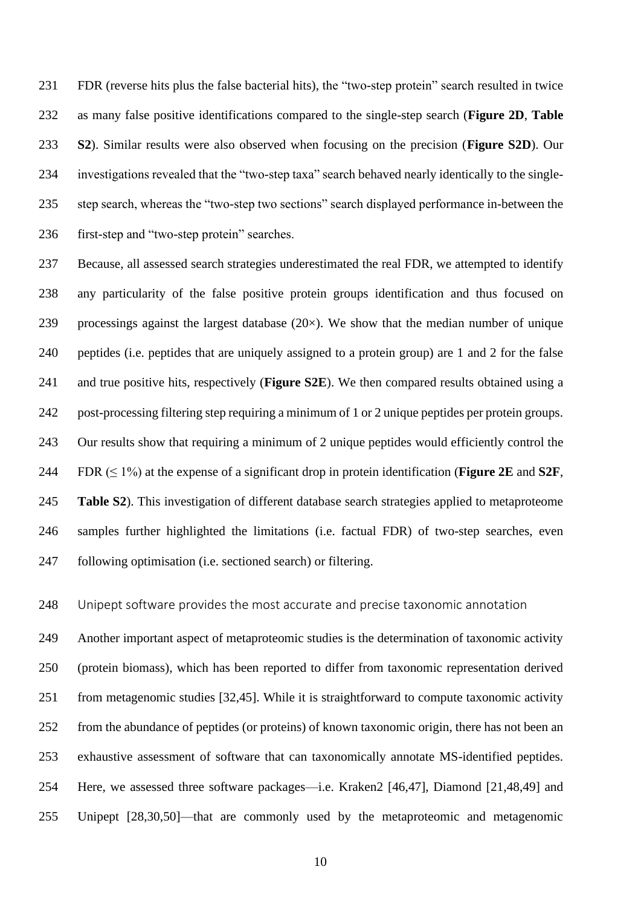FDR (reverse hits plus the false bacterial hits), the "two-step protein" search resulted in twice as many false positive identifications compared to the single-step search (**Figure 2D**, **Table S2**). Similar results were also observed when focusing on the precision (**Figure S2D**). Our investigations revealed that the "two-step taxa" search behaved nearly identically to the single- step search, whereas the "two-step two sections" search displayed performance in-between the first-step and "two-step protein" searches.

 Because, all assessed search strategies underestimated the real FDR, we attempted to identify any particularity of the false positive protein groups identification and thus focused on 239 processings against the largest database  $(20\times)$ . We show that the median number of unique peptides (i.e. peptides that are uniquely assigned to a protein group) are 1 and 2 for the false and true positive hits, respectively (**Figure S2E**). We then compared results obtained using a post-processing filtering step requiring a minimum of 1 or 2 unique peptides per protein groups. Our results show that requiring a minimum of 2 unique peptides would efficiently control the 244 FDR  $(\leq 1\%)$  at the expense of a significant drop in protein identification (**Figure 2E** and **S2F**, **Table S2**). This investigation of different database search strategies applied to metaproteome samples further highlighted the limitations (i.e. factual FDR) of two-step searches, even following optimisation (i.e. sectioned search) or filtering.

Unipept software provides the most accurate and precise taxonomic annotation

 Another important aspect of metaproteomic studies is the determination of taxonomic activity (protein biomass), which has been reported to differ from taxonomic representation derived from metagenomic studies [32,45]. While it is straightforward to compute taxonomic activity from the abundance of peptides (or proteins) of known taxonomic origin, there has not been an exhaustive assessment of software that can taxonomically annotate MS-identified peptides. Here, we assessed three software packages—i.e. Kraken2 [46,47], Diamond [21,48,49] and Unipept [28,30,50]—that are commonly used by the metaproteomic and metagenomic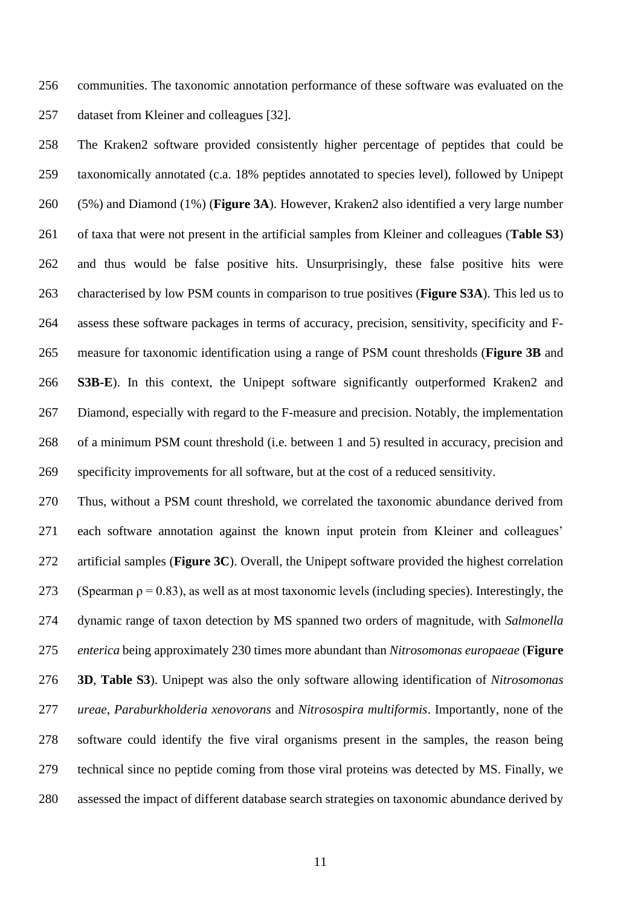communities. The taxonomic annotation performance of these software was evaluated on the dataset from Kleiner and colleagues [32].

 The Kraken2 software provided consistently higher percentage of peptides that could be taxonomically annotated (c.a. 18% peptides annotated to species level), followed by Unipept (5%) and Diamond (1%) (**Figure 3A**). However, Kraken2 also identified a very large number of taxa that were not present in the artificial samples from Kleiner and colleagues (**Table S3**) and thus would be false positive hits. Unsurprisingly, these false positive hits were characterised by low PSM counts in comparison to true positives (**Figure S3A**). This led us to assess these software packages in terms of accuracy, precision, sensitivity, specificity and F- measure for taxonomic identification using a range of PSM count thresholds (**Figure 3B** and **S3B-E**). In this context, the Unipept software significantly outperformed Kraken2 and Diamond, especially with regard to the F-measure and precision. Notably, the implementation of a minimum PSM count threshold (i.e. between 1 and 5) resulted in accuracy, precision and specificity improvements for all software, but at the cost of a reduced sensitivity.

 Thus, without a PSM count threshold, we correlated the taxonomic abundance derived from each software annotation against the known input protein from Kleiner and colleagues' artificial samples (**Figure 3C**). Overall, the Unipept software provided the highest correlation 273 (Spearman  $\rho = 0.83$ ), as well as at most taxonomic levels (including species). Interestingly, the dynamic range of taxon detection by MS spanned two orders of magnitude, with *Salmonella enterica* being approximately 230 times more abundant than *Nitrosomonas europaeae* (**Figure 3D**, **Table S3**). Unipept was also the only software allowing identification of *Nitrosomonas ureae*, *Paraburkholderia xenovorans* and *Nitrosospira multiformis*. Importantly, none of the software could identify the five viral organisms present in the samples, the reason being technical since no peptide coming from those viral proteins was detected by MS. Finally, we assessed the impact of different database search strategies on taxonomic abundance derived by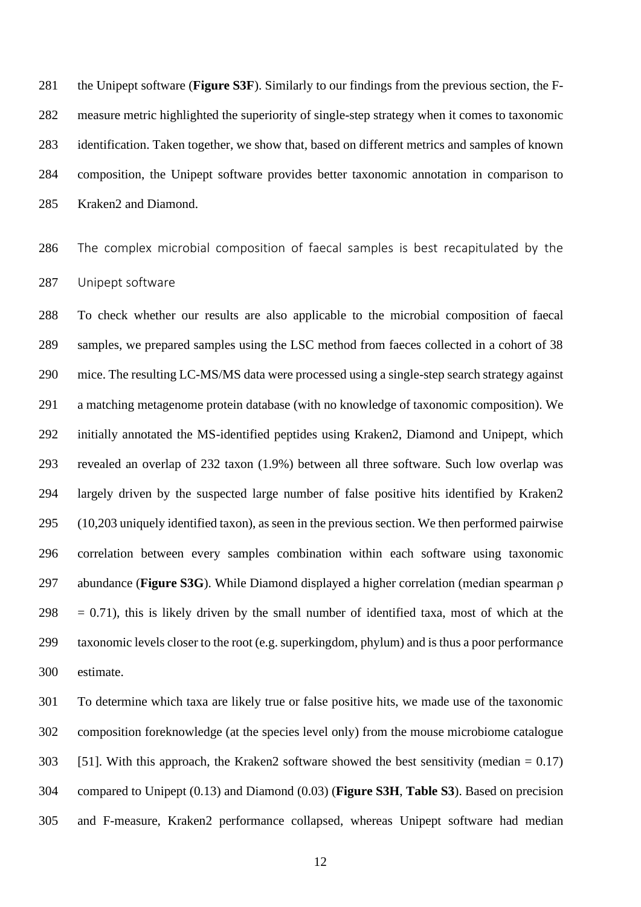the Unipept software (**Figure S3F**). Similarly to our findings from the previous section, the F- measure metric highlighted the superiority of single-step strategy when it comes to taxonomic identification. Taken together, we show that, based on different metrics and samples of known composition, the Unipept software provides better taxonomic annotation in comparison to Kraken2 and Diamond.

 The complex microbial composition of faecal samples is best recapitulated by the Unipept software

 To check whether our results are also applicable to the microbial composition of faecal samples, we prepared samples using the LSC method from faeces collected in a cohort of 38 mice. The resulting LC-MS/MS data were processed using a single-step search strategy against a matching metagenome protein database (with no knowledge of taxonomic composition). We initially annotated the MS-identified peptides using Kraken2, Diamond and Unipept, which revealed an overlap of 232 taxon (1.9%) between all three software. Such low overlap was largely driven by the suspected large number of false positive hits identified by Kraken2 (10,203 uniquely identified taxon), as seen in the previous section. We then performed pairwise correlation between every samples combination within each software using taxonomic abundance (**Figure S3G**). While Diamond displayed a higher correlation (median spearman ρ  $298 = 0.71$ , this is likely driven by the small number of identified taxa, most of which at the taxonomic levels closer to the root (e.g. superkingdom, phylum) and is thus a poor performance estimate.

 To determine which taxa are likely true or false positive hits, we made use of the taxonomic composition foreknowledge (at the species level only) from the mouse microbiome catalogue 303 [51]. With this approach, the Kraken2 software showed the best sensitivity (median  $= 0.17$ ) compared to Unipept (0.13) and Diamond (0.03) (**Figure S3H**, **Table S3**). Based on precision and F-measure, Kraken2 performance collapsed, whereas Unipept software had median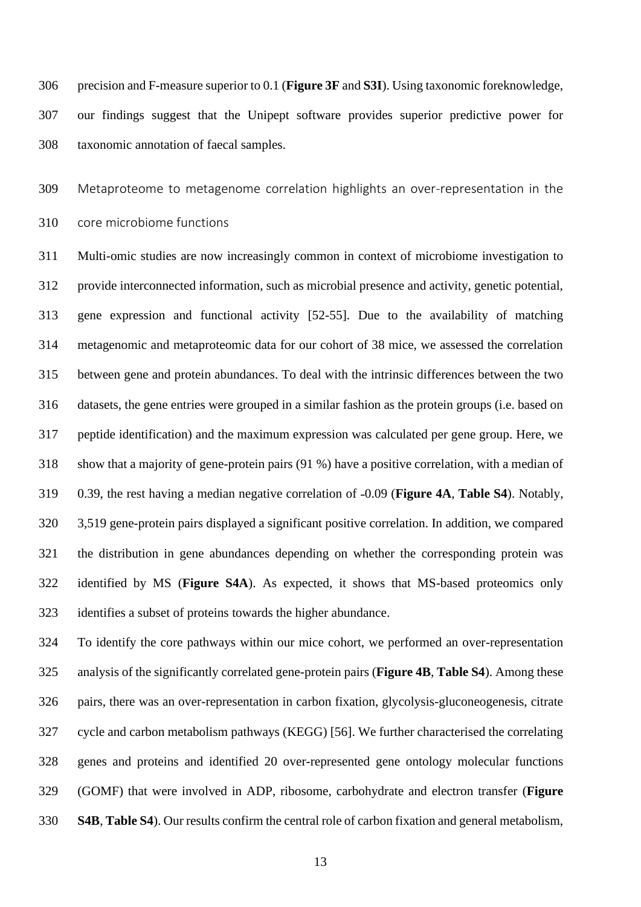precision and F-measure superior to 0.1 (**Figure 3F** and **S3I**). Using taxonomic foreknowledge, our findings suggest that the Unipept software provides superior predictive power for taxonomic annotation of faecal samples.

Metaproteome to metagenome correlation highlights an over-representation in the

core microbiome functions

 Multi-omic studies are now increasingly common in context of microbiome investigation to provide interconnected information, such as microbial presence and activity, genetic potential, gene expression and functional activity [52-55]. Due to the availability of matching metagenomic and metaproteomic data for our cohort of 38 mice, we assessed the correlation between gene and protein abundances. To deal with the intrinsic differences between the two datasets, the gene entries were grouped in a similar fashion as the protein groups (i.e. based on peptide identification) and the maximum expression was calculated per gene group. Here, we show that a majority of gene-protein pairs (91 %) have a positive correlation, with a median of 319 0.39, the rest having a median negative correlation of  $-0.09$  (**Figure 4A, Table S4**). Notably, 3,519 gene-protein pairs displayed a significant positive correlation. In addition, we compared the distribution in gene abundances depending on whether the corresponding protein was identified by MS (**Figure S4A**). As expected, it shows that MS-based proteomics only identifies a subset of proteins towards the higher abundance.

 To identify the core pathways within our mice cohort, we performed an over-representation analysis of the significantly correlated gene-protein pairs (**Figure 4B**, **Table S4**). Among these pairs, there was an over-representation in carbon fixation, glycolysis-gluconeogenesis, citrate cycle and carbon metabolism pathways (KEGG) [56]. We further characterised the correlating genes and proteins and identified 20 over-represented gene ontology molecular functions (GOMF) that were involved in ADP, ribosome, carbohydrate and electron transfer (**Figure S4B**, **Table S4**). Our results confirm the central role of carbon fixation and general metabolism,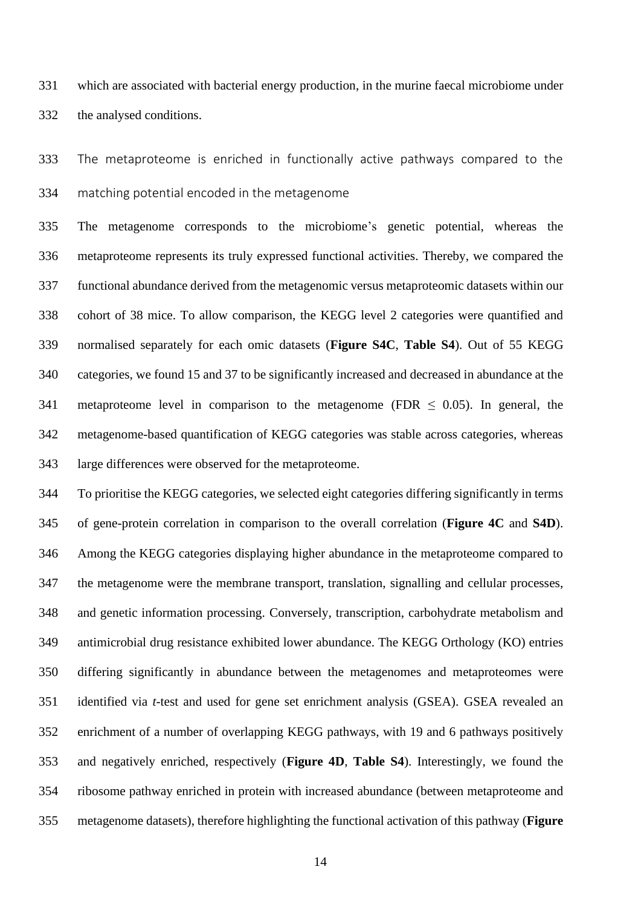which are associated with bacterial energy production, in the murine faecal microbiome under the analysed conditions.

 The metaproteome is enriched in functionally active pathways compared to the matching potential encoded in the metagenome

 The metagenome corresponds to the microbiome's genetic potential, whereas the metaproteome represents its truly expressed functional activities. Thereby, we compared the functional abundance derived from the metagenomic versus metaproteomic datasets within our cohort of 38 mice. To allow comparison, the KEGG level 2 categories were quantified and normalised separately for each omic datasets (**Figure S4C**, **Table S4**). Out of 55 KEGG categories, we found 15 and 37 to be significantly increased and decreased in abundance at the 341 metaproteome level in comparison to the metagenome (FDR  $\leq$  0.05). In general, the metagenome-based quantification of KEGG categories was stable across categories, whereas large differences were observed for the metaproteome.

 To prioritise the KEGG categories, we selected eight categories differing significantly in terms of gene-protein correlation in comparison to the overall correlation (**Figure 4C** and **S4D**). Among the KEGG categories displaying higher abundance in the metaproteome compared to the metagenome were the membrane transport, translation, signalling and cellular processes, and genetic information processing. Conversely, transcription, carbohydrate metabolism and antimicrobial drug resistance exhibited lower abundance. The KEGG Orthology (KO) entries differing significantly in abundance between the metagenomes and metaproteomes were identified via *t*-test and used for gene set enrichment analysis (GSEA). GSEA revealed an enrichment of a number of overlapping KEGG pathways, with 19 and 6 pathways positively and negatively enriched, respectively (**Figure 4D**, **Table S4**). Interestingly, we found the ribosome pathway enriched in protein with increased abundance (between metaproteome and metagenome datasets), therefore highlighting the functional activation of this pathway (**Figure**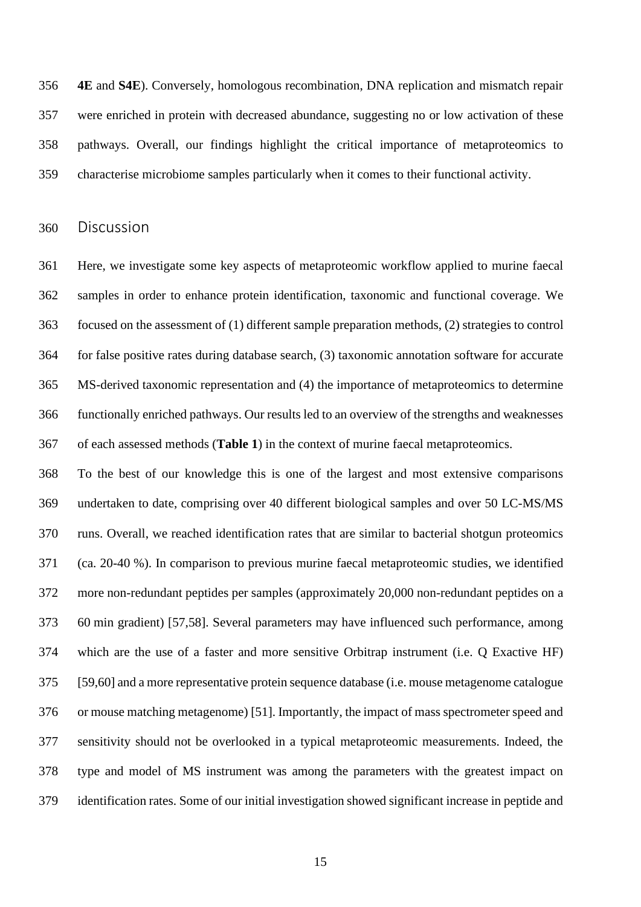**4E** and **S4E**). Conversely, homologous recombination, DNA replication and mismatch repair were enriched in protein with decreased abundance, suggesting no or low activation of these pathways. Overall, our findings highlight the critical importance of metaproteomics to characterise microbiome samples particularly when it comes to their functional activity.

Discussion

 Here, we investigate some key aspects of metaproteomic workflow applied to murine faecal samples in order to enhance protein identification, taxonomic and functional coverage. We focused on the assessment of (1) different sample preparation methods, (2) strategies to control for false positive rates during database search, (3) taxonomic annotation software for accurate MS-derived taxonomic representation and (4) the importance of metaproteomics to determine functionally enriched pathways. Our results led to an overview of the strengths and weaknesses of each assessed methods (**Table 1**) in the context of murine faecal metaproteomics.

 To the best of our knowledge this is one of the largest and most extensive comparisons undertaken to date, comprising over 40 different biological samples and over 50 LC-MS/MS runs. Overall, we reached identification rates that are similar to bacterial shotgun proteomics (ca. 20-40 %). In comparison to previous murine faecal metaproteomic studies, we identified more non-redundant peptides per samples (approximately 20,000 non-redundant peptides on a 60 min gradient) [57,58]. Several parameters may have influenced such performance, among which are the use of a faster and more sensitive Orbitrap instrument (i.e. Q Exactive HF) [59,60] and a more representative protein sequence database (i.e. mouse metagenome catalogue or mouse matching metagenome) [51]. Importantly, the impact of mass spectrometer speed and sensitivity should not be overlooked in a typical metaproteomic measurements. Indeed, the type and model of MS instrument was among the parameters with the greatest impact on identification rates. Some of our initial investigation showed significant increase in peptide and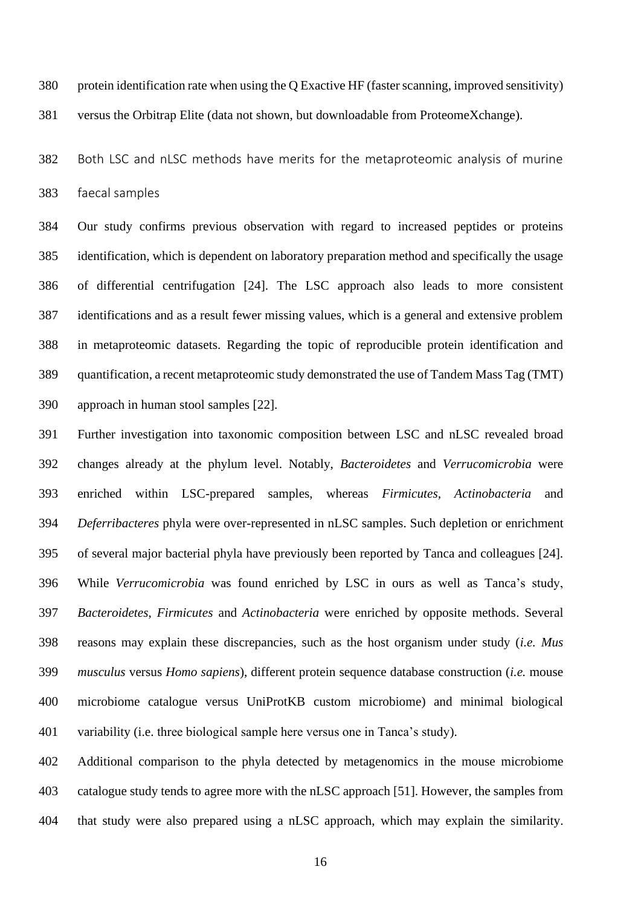- protein identification rate when using the Q Exactive HF (faster scanning, improved sensitivity)
- versus the Orbitrap Elite (data not shown, but downloadable from ProteomeXchange).

 Both LSC and nLSC methods have merits for the metaproteomic analysis of murine faecal samples

 Our study confirms previous observation with regard to increased peptides or proteins identification, which is dependent on laboratory preparation method and specifically the usage of differential centrifugation [24]. The LSC approach also leads to more consistent identifications and as a result fewer missing values, which is a general and extensive problem in metaproteomic datasets. Regarding the topic of reproducible protein identification and quantification, a recent metaproteomic study demonstrated the use of Tandem Mass Tag (TMT) approach in human stool samples [22].

 Further investigation into taxonomic composition between LSC and nLSC revealed broad changes already at the phylum level. Notably, *Bacteroidetes* and *Verrucomicrobia* were enriched within LSC-prepared samples, whereas *Firmicutes, Actinobacteria* and *Deferribacteres* phyla were over-represented in nLSC samples. Such depletion or enrichment of several major bacterial phyla have previously been reported by Tanca and colleagues [24]. While *Verrucomicrobia* was found enriched by LSC in ours as well as Tanca's study, *Bacteroidetes*, *Firmicutes* and *Actinobacteria* were enriched by opposite methods. Several reasons may explain these discrepancies, such as the host organism under study (*i.e. Mus musculus* versus *Homo sapiens*), different protein sequence database construction (*i.e.* mouse microbiome catalogue versus UniProtKB custom microbiome) and minimal biological variability (i.e. three biological sample here versus one in Tanca's study).

 Additional comparison to the phyla detected by metagenomics in the mouse microbiome catalogue study tends to agree more with the nLSC approach [51]. However, the samples from that study were also prepared using a nLSC approach, which may explain the similarity.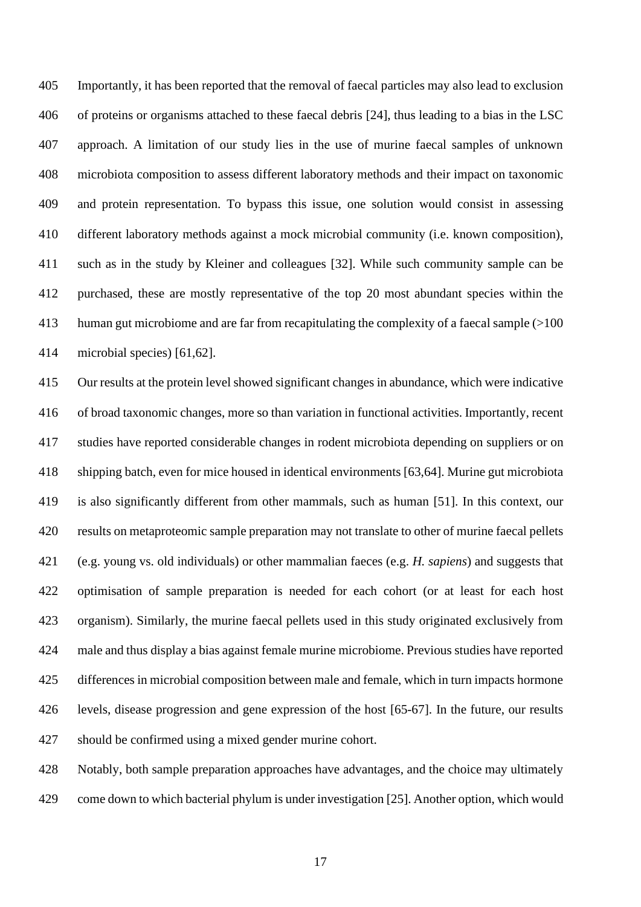Importantly, it has been reported that the removal of faecal particles may also lead to exclusion of proteins or organisms attached to these faecal debris [24], thus leading to a bias in the LSC approach. A limitation of our study lies in the use of murine faecal samples of unknown microbiota composition to assess different laboratory methods and their impact on taxonomic and protein representation. To bypass this issue, one solution would consist in assessing different laboratory methods against a mock microbial community (i.e. known composition), such as in the study by Kleiner and colleagues [32]. While such community sample can be purchased, these are mostly representative of the top 20 most abundant species within the human gut microbiome and are far from recapitulating the complexity of a faecal sample (>100 microbial species) [61,62].

 Our results at the protein level showed significant changes in abundance, which were indicative of broad taxonomic changes, more so than variation in functional activities. Importantly, recent studies have reported considerable changes in rodent microbiota depending on suppliers or on shipping batch, even for mice housed in identical environments [63,64]. Murine gut microbiota is also significantly different from other mammals, such as human [51]. In this context, our results on metaproteomic sample preparation may not translate to other of murine faecal pellets (e.g. young vs. old individuals) or other mammalian faeces (e.g. *H. sapiens*) and suggests that optimisation of sample preparation is needed for each cohort (or at least for each host organism). Similarly, the murine faecal pellets used in this study originated exclusively from male and thus display a bias against female murine microbiome. Previous studies have reported differences in microbial composition between male and female, which in turn impacts hormone levels, disease progression and gene expression of the host [65-67]. In the future, our results should be confirmed using a mixed gender murine cohort.

 Notably, both sample preparation approaches have advantages, and the choice may ultimately come down to which bacterial phylum is under investigation [25]. Another option, which would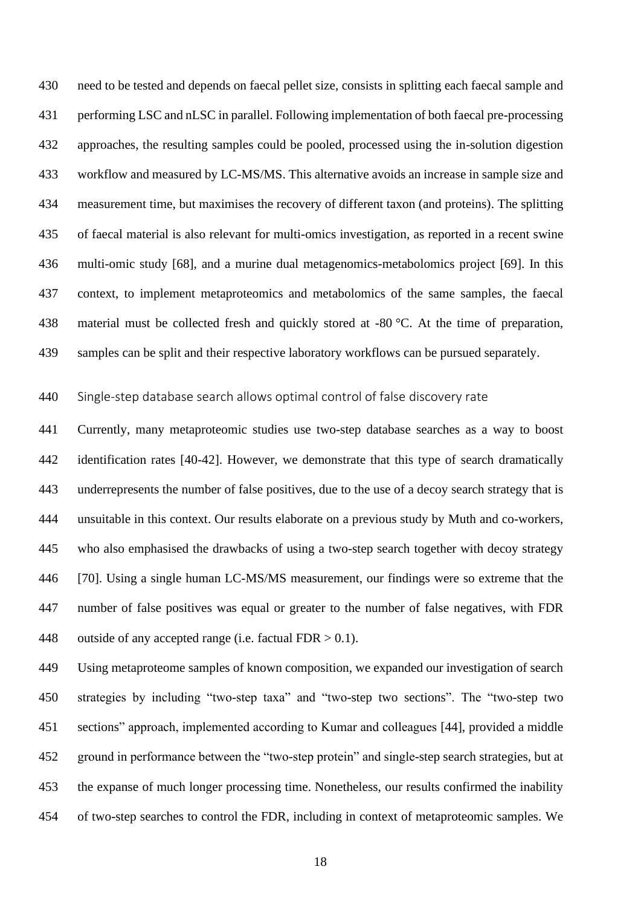need to be tested and depends on faecal pellet size, consists in splitting each faecal sample and performing LSC and nLSC in parallel. Following implementation of both faecal pre-processing approaches, the resulting samples could be pooled, processed using the in-solution digestion workflow and measured by LC-MS/MS. This alternative avoids an increase in sample size and measurement time, but maximises the recovery of different taxon (and proteins). The splitting of faecal material is also relevant for multi-omics investigation, as reported in a recent swine multi-omic study [68], and a murine dual metagenomics-metabolomics project [69]. In this context, to implement metaproteomics and metabolomics of the same samples, the faecal 438 material must be collected fresh and quickly stored at -80 °C. At the time of preparation, samples can be split and their respective laboratory workflows can be pursued separately.

Single-step database search allows optimal control of false discovery rate

 Currently, many metaproteomic studies use two-step database searches as a way to boost identification rates [40-42]. However, we demonstrate that this type of search dramatically underrepresents the number of false positives, due to the use of a decoy search strategy that is unsuitable in this context. Our results elaborate on a previous study by Muth and co-workers, who also emphasised the drawbacks of using a two-step search together with decoy strategy [70]. Using a single human LC-MS/MS measurement, our findings were so extreme that the number of false positives was equal or greater to the number of false negatives, with FDR 448 outside of any accepted range (i.e. factual FDR  $> 0.1$ ).

 Using metaproteome samples of known composition, we expanded our investigation of search strategies by including "two-step taxa" and "two-step two sections". The "two-step two sections" approach, implemented according to Kumar and colleagues [44], provided a middle ground in performance between the "two-step protein" and single-step search strategies, but at the expanse of much longer processing time. Nonetheless, our results confirmed the inability of two-step searches to control the FDR, including in context of metaproteomic samples. We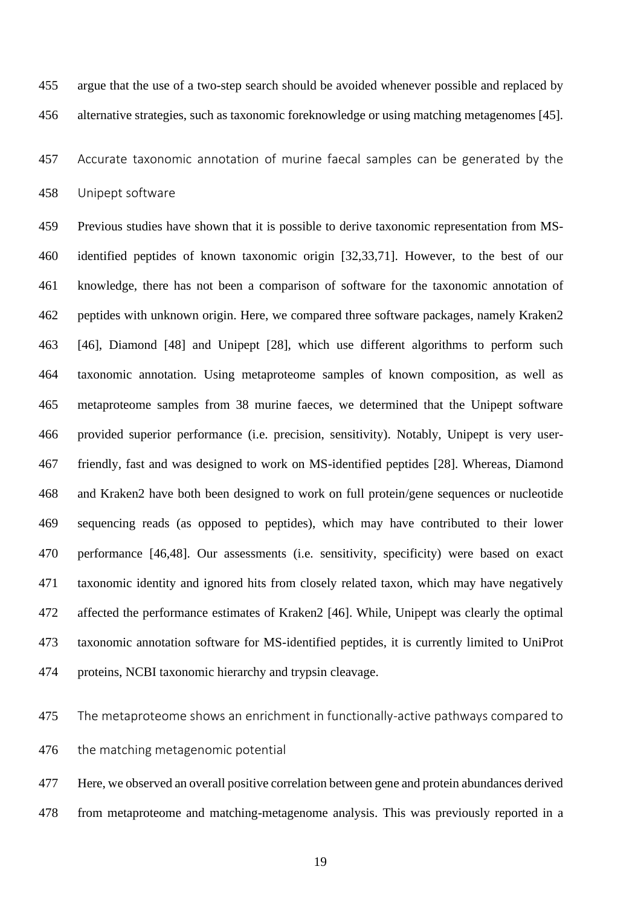argue that the use of a two-step search should be avoided whenever possible and replaced by alternative strategies, such as taxonomic foreknowledge or using matching metagenomes [45].

 Accurate taxonomic annotation of murine faecal samples can be generated by the Unipept software

 Previous studies have shown that it is possible to derive taxonomic representation from MS- identified peptides of known taxonomic origin [32,33,71]. However, to the best of our knowledge, there has not been a comparison of software for the taxonomic annotation of peptides with unknown origin. Here, we compared three software packages, namely Kraken2 [46], Diamond [48] and Unipept [28], which use different algorithms to perform such taxonomic annotation. Using metaproteome samples of known composition, as well as metaproteome samples from 38 murine faeces, we determined that the Unipept software provided superior performance (i.e. precision, sensitivity). Notably, Unipept is very user- friendly, fast and was designed to work on MS-identified peptides [28]. Whereas, Diamond and Kraken2 have both been designed to work on full protein/gene sequences or nucleotide sequencing reads (as opposed to peptides), which may have contributed to their lower performance [46,48]. Our assessments (i.e. sensitivity, specificity) were based on exact taxonomic identity and ignored hits from closely related taxon, which may have negatively affected the performance estimates of Kraken2 [46]. While, Unipept was clearly the optimal taxonomic annotation software for MS-identified peptides, it is currently limited to UniProt proteins, NCBI taxonomic hierarchy and trypsin cleavage.

 The metaproteome shows an enrichment in functionally-active pathways compared to the matching metagenomic potential

 Here, we observed an overall positive correlation between gene and protein abundances derived from metaproteome and matching-metagenome analysis. This was previously reported in a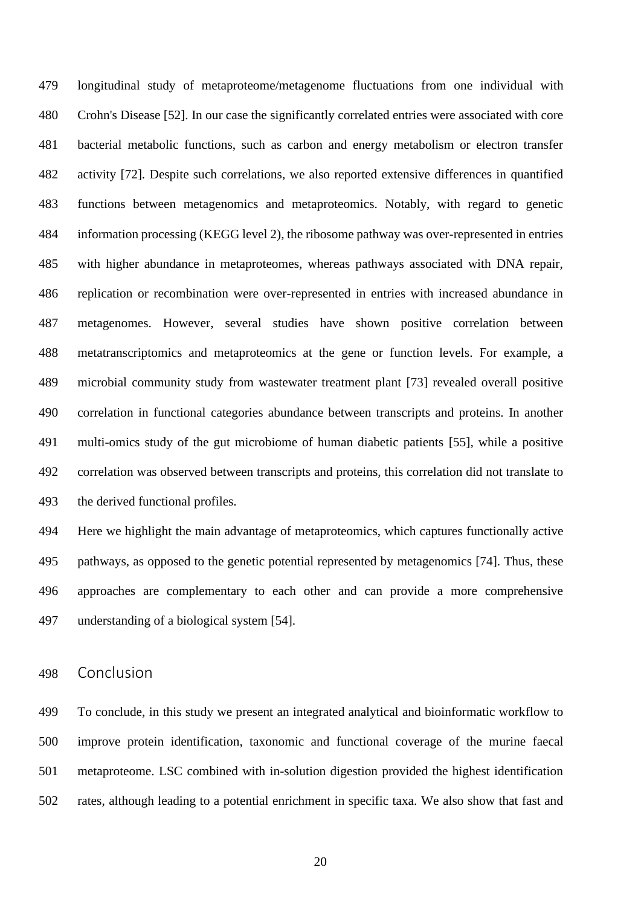longitudinal study of metaproteome/metagenome fluctuations from one individual with Crohn's Disease [52]. In our case the significantly correlated entries were associated with core bacterial metabolic functions, such as carbon and energy metabolism or electron transfer activity [72]. Despite such correlations, we also reported extensive differences in quantified functions between metagenomics and metaproteomics. Notably, with regard to genetic information processing (KEGG level 2), the ribosome pathway was over-represented in entries with higher abundance in metaproteomes, whereas pathways associated with DNA repair, replication or recombination were over-represented in entries with increased abundance in metagenomes. However, several studies have shown positive correlation between metatranscriptomics and metaproteomics at the gene or function levels. For example, a microbial community study from wastewater treatment plant [73] revealed overall positive correlation in functional categories abundance between transcripts and proteins. In another multi-omics study of the gut microbiome of human diabetic patients [55], while a positive correlation was observed between transcripts and proteins, this correlation did not translate to the derived functional profiles.

 Here we highlight the main advantage of metaproteomics, which captures functionally active pathways, as opposed to the genetic potential represented by metagenomics [74]. Thus, these approaches are complementary to each other and can provide a more comprehensive understanding of a biological system [54].

Conclusion

 To conclude, in this study we present an integrated analytical and bioinformatic workflow to improve protein identification, taxonomic and functional coverage of the murine faecal metaproteome. LSC combined with in-solution digestion provided the highest identification rates, although leading to a potential enrichment in specific taxa. We also show that fast and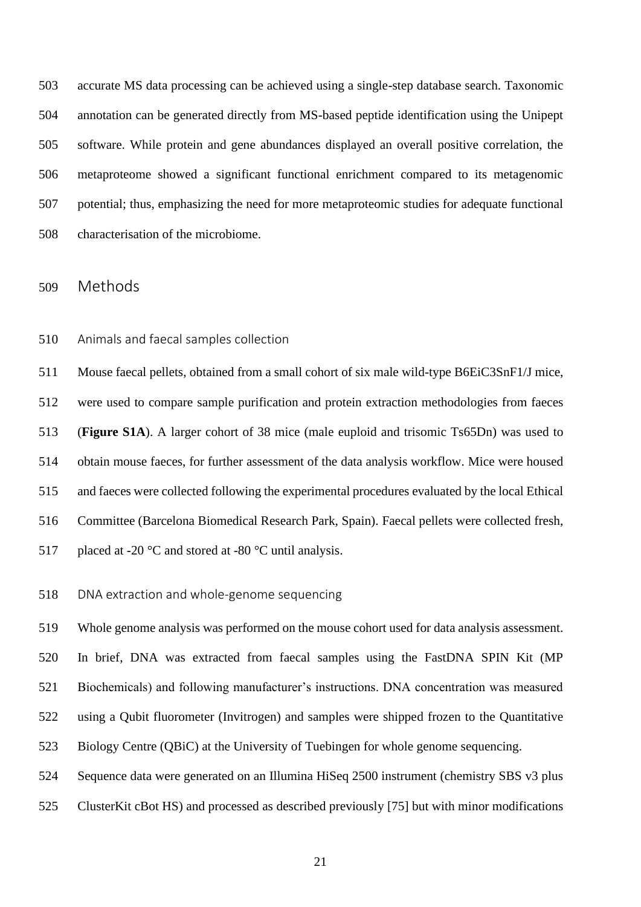accurate MS data processing can be achieved using a single-step database search. Taxonomic annotation can be generated directly from MS-based peptide identification using the Unipept software. While protein and gene abundances displayed an overall positive correlation, the metaproteome showed a significant functional enrichment compared to its metagenomic potential; thus, emphasizing the need for more metaproteomic studies for adequate functional characterisation of the microbiome.

Methods

Animals and faecal samples collection

 Mouse faecal pellets, obtained from a small cohort of six male wild-type B6EiC3SnF1/J mice, were used to compare sample purification and protein extraction methodologies from faeces (**Figure S1A**). A larger cohort of 38 mice (male euploid and trisomic Ts65Dn) was used to obtain mouse faeces, for further assessment of the data analysis workflow. Mice were housed and faeces were collected following the experimental procedures evaluated by the local Ethical Committee (Barcelona Biomedical Research Park, Spain). Faecal pellets were collected fresh, 517 placed at -20 °C and stored at -80 °C until analysis.

# DNA extraction and whole-genome sequencing

 Whole genome analysis was performed on the mouse cohort used for data analysis assessment. In brief, DNA was extracted from faecal samples using the FastDNA SPIN Kit (MP Biochemicals) and following manufacturer's instructions. DNA concentration was measured using a Qubit fluorometer (Invitrogen) and samples were shipped frozen to the Quantitative Biology Centre (QBiC) at the University of Tuebingen for whole genome sequencing. Sequence data were generated on an Illumina HiSeq 2500 instrument (chemistry SBS v3 plus

ClusterKit cBot HS) and processed as described previously [75] but with minor modifications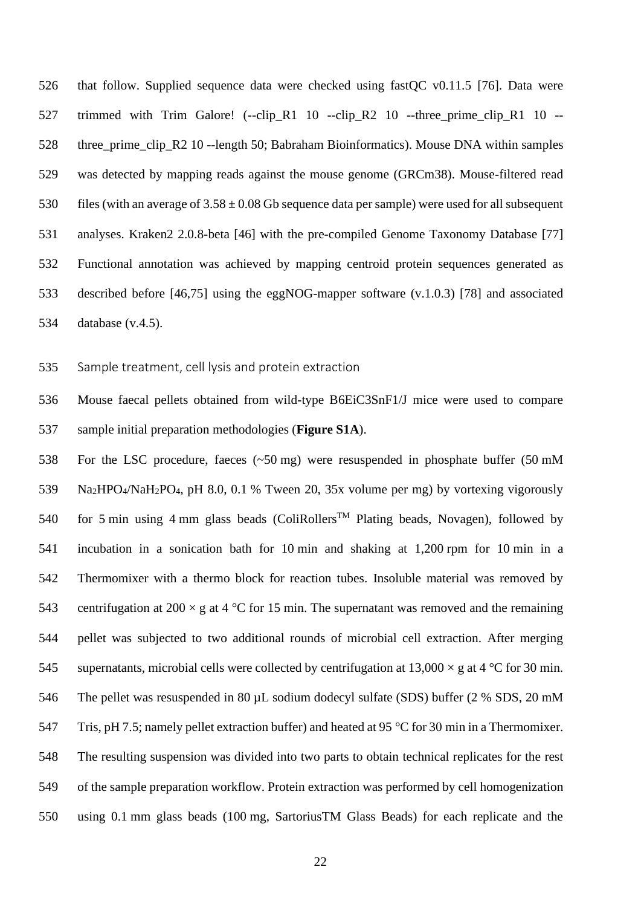that follow. Supplied sequence data were checked using fastQC v0.11.5 [76]. Data were 527 trimmed with Trim Galore! (--clip R1 10 --clip R2 10 --three prime clip R1 10 --528 three prime clip R2 10 --length 50; Babraham Bioinformatics). Mouse DNA within samples was detected by mapping reads against the mouse genome (GRCm38). Mouse-filtered read 530 files (with an average of  $3.58 \pm 0.08$  Gb sequence data per sample) were used for all subsequent analyses. Kraken2 2.0.8-beta [46] with the pre-compiled Genome Taxonomy Database [77] Functional annotation was achieved by mapping centroid protein sequences generated as described before [46,75] using the eggNOG-mapper software (v.1.0.3) [78] and associated database (v.4.5).

Sample treatment, cell lysis and protein extraction

 Mouse faecal pellets obtained from wild-type B6EiC3SnF1/J mice were used to compare sample initial preparation methodologies (**Figure S1A**).

 For the LSC procedure, faeces (~50 mg) were resuspended in phosphate buffer (50 mM Na2HPO4/NaH2PO4, pH 8.0, 0.1 % Tween 20, 35x volume per mg) by vortexing vigorously 540 for 5 min using 4 mm glass beads (ColiRollers<sup>TM</sup> Plating beads, Novagen), followed by incubation in a sonication bath for 10 min and shaking at 1,200 rpm for 10 min in a Thermomixer with a thermo block for reaction tubes. Insoluble material was removed by 543 centrifugation at 200  $\times$  g at 4 °C for 15 min. The supernatant was removed and the remaining pellet was subjected to two additional rounds of microbial cell extraction. After merging 545 supernatants, microbial cells were collected by centrifugation at  $13,000 \times$  g at 4 °C for 30 min. The pellet was resuspended in 80 µL sodium dodecyl sulfate (SDS) buffer (2 % SDS, 20 mM Tris, pH 7.5; namely pellet extraction buffer) and heated at 95 °C for 30 min in a Thermomixer. The resulting suspension was divided into two parts to obtain technical replicates for the rest of the sample preparation workflow. Protein extraction was performed by cell homogenization using 0.1 mm glass beads (100 mg, SartoriusTM Glass Beads) for each replicate and the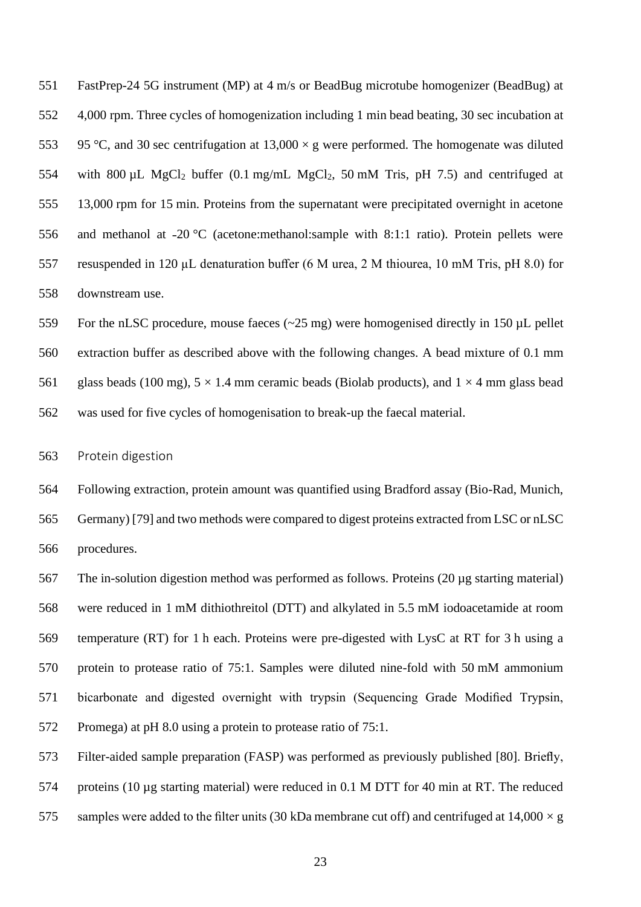FastPrep-24 5G instrument (MP) at 4 m/s or BeadBug microtube homogenizer (BeadBug) at 4,000 rpm. Three cycles of homogenization including 1 min bead beating, 30 sec incubation at 553 95 °C, and 30 sec centrifugation at  $13,000 \times g$  were performed. The homogenate was diluted 554 with 800  $\mu$ L MgCl<sub>2</sub> buffer (0.1 mg/mL MgCl<sub>2</sub>, 50 mM Tris, pH 7.5) and centrifuged at 13,000 rpm for 15 min. Proteins from the supernatant were precipitated overnight in acetone 556 and methanol at  $-20$  °C (acetone:methanol:sample with 8:1:1 ratio). Protein pellets were resuspended in 120 µL denaturation buffer (6 M urea, 2 M thiourea, 10 mM Tris, pH 8.0) for downstream use.

 For the nLSC procedure, mouse faeces (~25 mg) were homogenised directly in 150 µL pellet extraction buffer as described above with the following changes. A bead mixture of 0.1 mm 561 glass beads (100 mg),  $5 \times 1.4$  mm ceramic beads (Biolab products), and  $1 \times 4$  mm glass bead was used for five cycles of homogenisation to break-up the faecal material.

Protein digestion

 Following extraction, protein amount was quantified using Bradford assay (Bio-Rad, Munich, Germany) [79] and two methods were compared to digest proteins extracted from LSC or nLSC procedures.

 The in-solution digestion method was performed as follows. Proteins (20 µg starting material) were reduced in 1 mM dithiothreitol (DTT) and alkylated in 5.5 mM iodoacetamide at room temperature (RT) for 1 h each. Proteins were pre-digested with LysC at RT for 3 h using a protein to protease ratio of 75:1. Samples were diluted nine-fold with 50 mM ammonium bicarbonate and digested overnight with trypsin (Sequencing Grade Modified Trypsin, Promega) at pH 8.0 using a protein to protease ratio of 75:1.

Filter-aided sample preparation (FASP) was performed as previously published [80]. Briefly,

proteins (10 µg starting material) were reduced in 0.1 M DTT for 40 min at RT. The reduced

575 samples were added to the filter units (30 kDa membrane cut off) and centrifuged at  $14,000 \times g$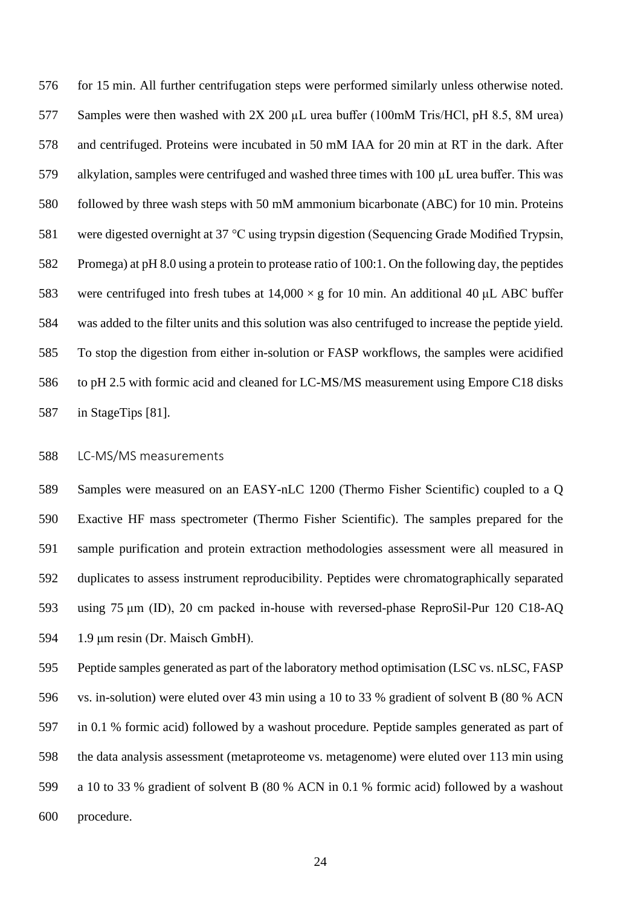for 15 min. All further centrifugation steps were performed similarly unless otherwise noted. Samples were then washed with 2X 200 µL urea buffer (100mM Tris/HCl, pH 8.5, 8M urea) and centrifuged. Proteins were incubated in 50 mM IAA for 20 min at RT in the dark. After alkylation, samples were centrifuged and washed three times with 100 µL urea buffer. This was followed by three wash steps with 50 mM ammonium bicarbonate (ABC) for 10 min. Proteins were digested overnight at 37 °C using trypsin digestion (Sequencing Grade Modified Trypsin, Promega) at pH 8.0 using a protein to protease ratio of 100:1. On the following day, the peptides 583 were centrifuged into fresh tubes at  $14,000 \times g$  for 10 min. An additional 40 µL ABC buffer was added to the filter units and this solution was also centrifuged to increase the peptide yield. To stop the digestion from either in-solution or FASP workflows, the samples were acidified to pH 2.5 with formic acid and cleaned for LC-MS/MS measurement using Empore C18 disks in StageTips [81].

# LC-MS/MS measurements

 Samples were measured on an EASY-nLC 1200 (Thermo Fisher Scientific) coupled to a Q Exactive HF mass spectrometer (Thermo Fisher Scientific). The samples prepared for the sample purification and protein extraction methodologies assessment were all measured in duplicates to assess instrument reproducibility. Peptides were chromatographically separated using 75 μm (ID), 20 cm packed in-house with reversed-phase ReproSil-Pur 120 C18-AQ 1.9 μm resin (Dr. Maisch GmbH).

 Peptide samples generated as part of the laboratory method optimisation (LSC vs. nLSC, FASP vs. in-solution) were eluted over 43 min using a 10 to 33 % gradient of solvent B (80 % ACN in 0.1 % formic acid) followed by a washout procedure. Peptide samples generated as part of the data analysis assessment (metaproteome vs. metagenome) were eluted over 113 min using a 10 to 33 % gradient of solvent B (80 % ACN in 0.1 % formic acid) followed by a washout procedure.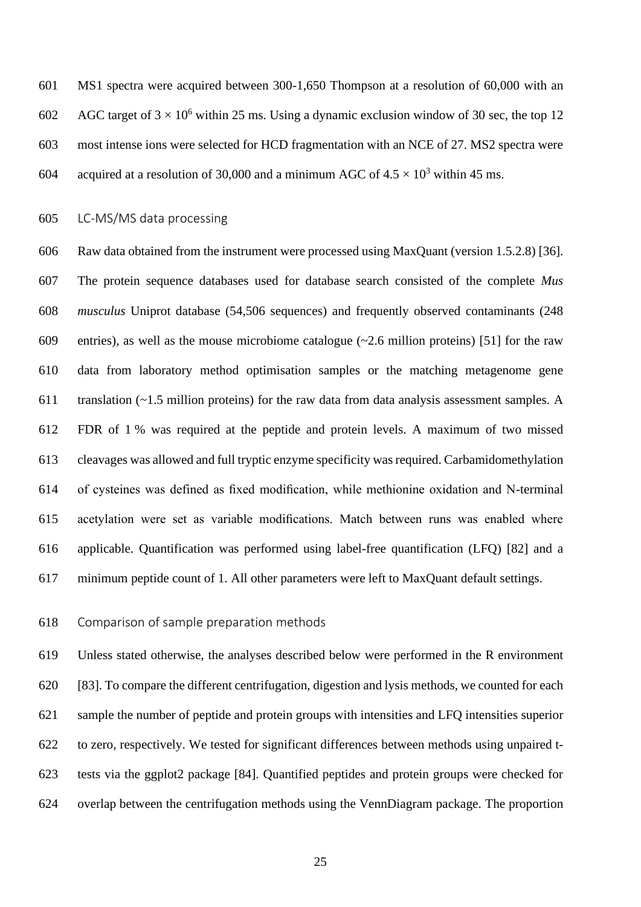MS1 spectra were acquired between 300-1,650 Thompson at a resolution of 60,000 with an 602 AGC target of  $3 \times 10^6$  within 25 ms. Using a dynamic exclusion window of 30 sec, the top 12 most intense ions were selected for HCD fragmentation with an NCE of 27. MS2 spectra were 604 acquired at a resolution of 30,000 and a minimum AGC of  $4.5 \times 10^3$  within 45 ms.

#### LC-MS/MS data processing

 Raw data obtained from the instrument were processed using MaxQuant (version 1.5.2.8) [36]. The protein sequence databases used for database search consisted of the complete *Mus musculus* Uniprot database (54,506 sequences) and frequently observed contaminants (248 entries), as well as the mouse microbiome catalogue (~2.6 million proteins) [51] for the raw data from laboratory method optimisation samples or the matching metagenome gene translation (~1.5 million proteins) for the raw data from data analysis assessment samples. A FDR of 1 % was required at the peptide and protein levels. A maximum of two missed cleavages was allowed and full tryptic enzyme specificity was required. Carbamidomethylation of cysteines was defined as fixed modification, while methionine oxidation and N-terminal acetylation were set as variable modifications. Match between runs was enabled where applicable. Quantification was performed using label-free quantification (LFQ) [82] and a minimum peptide count of 1. All other parameters were left to MaxQuant default settings.

#### Comparison of sample preparation methods

 Unless stated otherwise, the analyses described below were performed in the R environment [83]. To compare the different centrifugation, digestion and lysis methods, we counted for each sample the number of peptide and protein groups with intensities and LFQ intensities superior to zero, respectively. We tested for significant differences between methods using unpaired t- tests via the ggplot2 package [84]. Quantified peptides and protein groups were checked for overlap between the centrifugation methods using the VennDiagram package. The proportion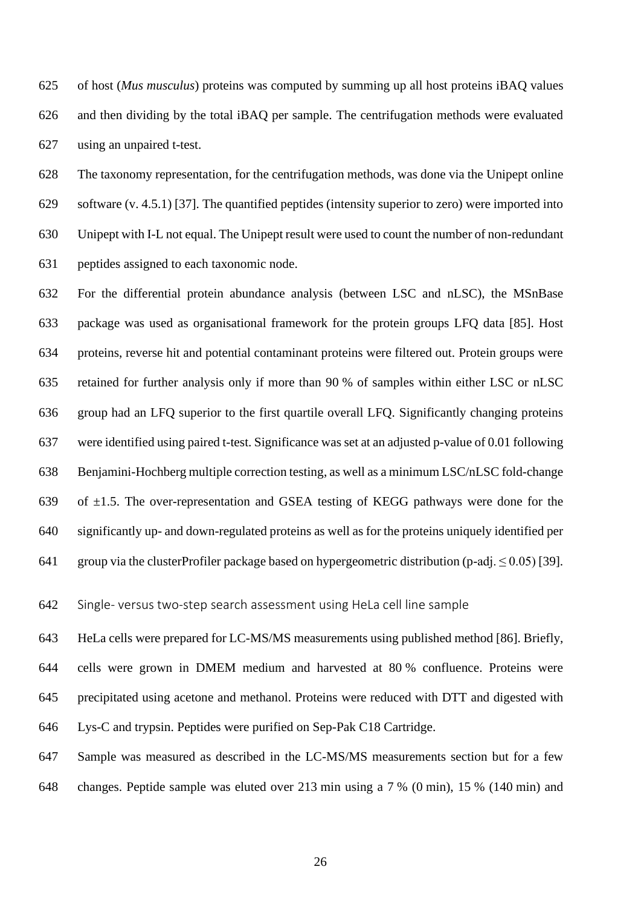of host (*Mus musculus*) proteins was computed by summing up all host proteins iBAQ values and then dividing by the total iBAQ per sample. The centrifugation methods were evaluated using an unpaired t-test.

 The taxonomy representation, for the centrifugation methods, was done via the Unipept online software (v. 4.5.1) [37]. The quantified peptides (intensity superior to zero) were imported into Unipept with I-L not equal. The Unipept result were used to count the number of non-redundant peptides assigned to each taxonomic node.

 For the differential protein abundance analysis (between LSC and nLSC), the MSnBase package was used as organisational framework for the protein groups LFQ data [85]. Host proteins, reverse hit and potential contaminant proteins were filtered out. Protein groups were retained for further analysis only if more than 90 % of samples within either LSC or nLSC group had an LFQ superior to the first quartile overall LFQ. Significantly changing proteins were identified using paired t-test. Significance was set at an adjusted p-value of 0.01 following Benjamini-Hochberg multiple correction testing, as well as a minimum LSC/nLSC fold-change 639 of  $\pm 1.5$ . The over-representation and GSEA testing of KEGG pathways were done for the significantly up- and down-regulated proteins as well as for the proteins uniquely identified per 641 group via the clusterProfiler package based on hypergeometric distribution (p-adj.  $\leq 0.05$ ) [39].

Single- versus two-step search assessment using HeLa cell line sample

 HeLa cells were prepared for LC-MS/MS measurements using published method [86]. Briefly, cells were grown in DMEM medium and harvested at 80 % confluence. Proteins were precipitated using acetone and methanol. Proteins were reduced with DTT and digested with Lys-C and trypsin. Peptides were purified on Sep-Pak C18 Cartridge.

 Sample was measured as described in the LC-MS/MS measurements section but for a few changes. Peptide sample was eluted over 213 min using a 7 % (0 min), 15 % (140 min) and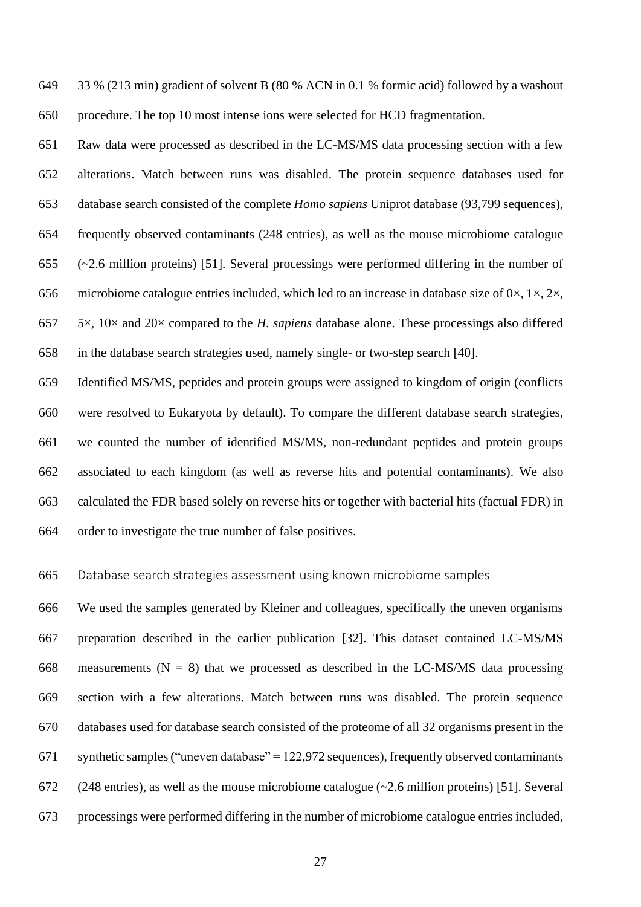33 % (213 min) gradient of solvent B (80 % ACN in 0.1 % formic acid) followed by a washout procedure. The top 10 most intense ions were selected for HCD fragmentation.

 Raw data were processed as described in the LC-MS/MS data processing section with a few alterations. Match between runs was disabled. The protein sequence databases used for database search consisted of the complete *Homo sapiens* Uniprot database (93,799 sequences), frequently observed contaminants (248 entries), as well as the mouse microbiome catalogue (~2.6 million proteins) [51]. Several processings were performed differing in the number of 656 microbiome catalogue entries included, which led to an increase in database size of  $0 \times$ ,  $1 \times$ ,  $2 \times$ , 5×, 10× and 20× compared to the *H. sapiens* database alone. These processings also differed in the database search strategies used, namely single- or two-step search [40].

 Identified MS/MS, peptides and protein groups were assigned to kingdom of origin (conflicts were resolved to Eukaryota by default). To compare the different database search strategies, we counted the number of identified MS/MS, non-redundant peptides and protein groups associated to each kingdom (as well as reverse hits and potential contaminants). We also calculated the FDR based solely on reverse hits or together with bacterial hits (factual FDR) in order to investigate the true number of false positives.

#### Database search strategies assessment using known microbiome samples

 We used the samples generated by Kleiner and colleagues, specifically the uneven organisms preparation described in the earlier publication [32]. This dataset contained LC-MS/MS 668 measurements ( $N = 8$ ) that we processed as described in the LC-MS/MS data processing section with a few alterations. Match between runs was disabled. The protein sequence databases used for database search consisted of the proteome of all 32 organisms present in the synthetic samples ("uneven database" = 122,972 sequences), frequently observed contaminants (248 entries), as well as the mouse microbiome catalogue (~2.6 million proteins) [51]. Several processings were performed differing in the number of microbiome catalogue entries included,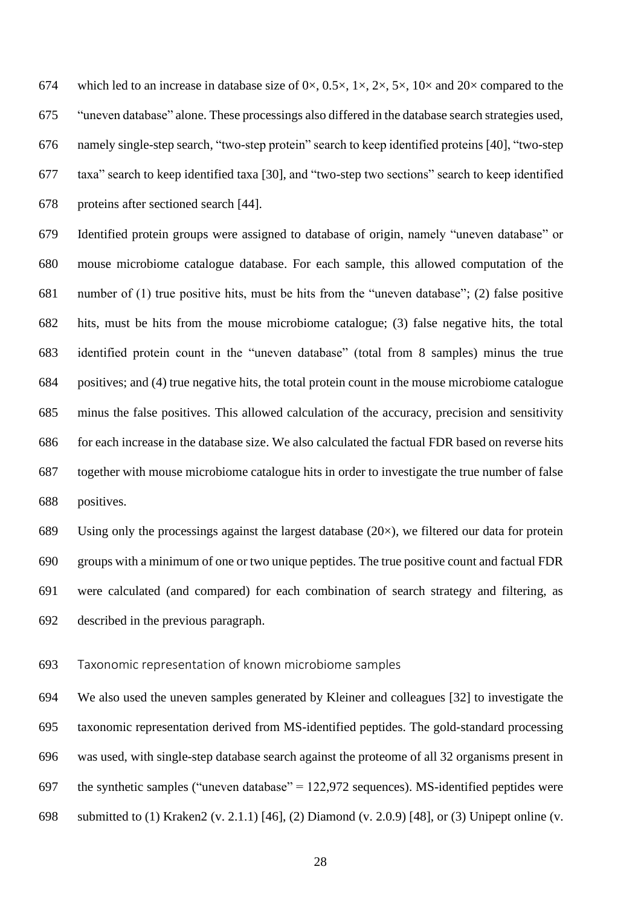674 which led to an increase in database size of  $0 \times$ ,  $0.5 \times$ ,  $1 \times$ ,  $2 \times$ ,  $5 \times$ ,  $10 \times$  and  $20 \times$  compared to the "uneven database" alone. These processings also differed in the database search strategies used, namely single-step search, "two-step protein" search to keep identified proteins [40], "two-step taxa" search to keep identified taxa [30], and "two-step two sections" search to keep identified proteins after sectioned search [44].

 Identified protein groups were assigned to database of origin, namely "uneven database" or mouse microbiome catalogue database. For each sample, this allowed computation of the number of (1) true positive hits, must be hits from the "uneven database"; (2) false positive hits, must be hits from the mouse microbiome catalogue; (3) false negative hits, the total identified protein count in the "uneven database" (total from 8 samples) minus the true positives; and (4) true negative hits, the total protein count in the mouse microbiome catalogue minus the false positives. This allowed calculation of the accuracy, precision and sensitivity for each increase in the database size. We also calculated the factual FDR based on reverse hits together with mouse microbiome catalogue hits in order to investigate the true number of false positives.

689 Using only the processings against the largest database  $(20\times)$ , we filtered our data for protein groups with a minimum of one or two unique peptides. The true positive count and factual FDR were calculated (and compared) for each combination of search strategy and filtering, as described in the previous paragraph.

Taxonomic representation of known microbiome samples

 We also used the uneven samples generated by Kleiner and colleagues [32] to investigate the taxonomic representation derived from MS-identified peptides. The gold-standard processing was used, with single-step database search against the proteome of all 32 organisms present in 697 the synthetic samples ("uneven database" =  $122,972$  sequences). MS-identified peptides were submitted to (1) Kraken2 (v. 2.1.1) [46], (2) Diamond (v. 2.0.9) [48], or (3) Unipept online (v.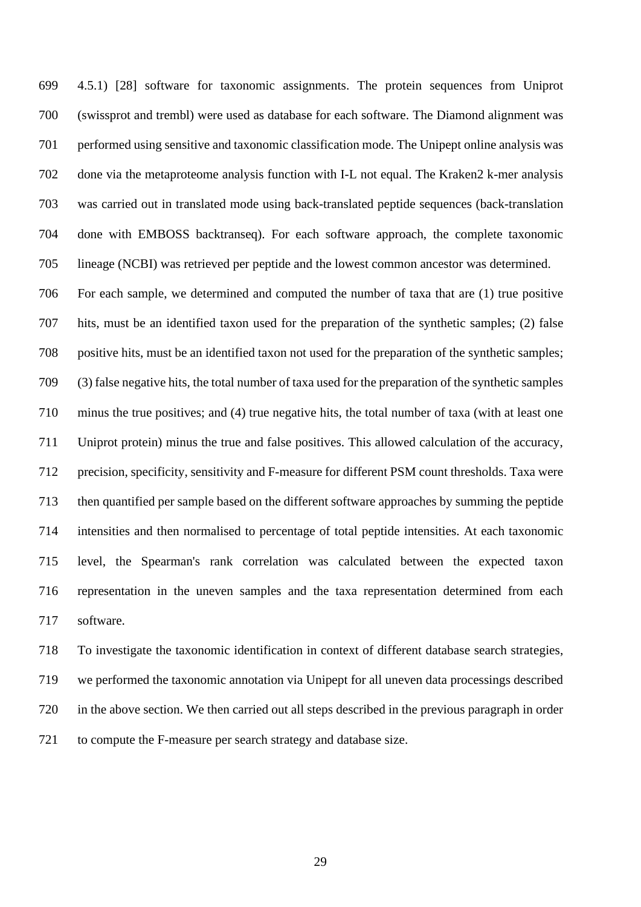4.5.1) [28] software for taxonomic assignments. The protein sequences from Uniprot (swissprot and trembl) were used as database for each software. The Diamond alignment was performed using sensitive and taxonomic classification mode. The Unipept online analysis was done via the metaproteome analysis function with I-L not equal. The Kraken2 k-mer analysis was carried out in translated mode using back-translated peptide sequences (back-translation done with EMBOSS backtranseq). For each software approach, the complete taxonomic lineage (NCBI) was retrieved per peptide and the lowest common ancestor was determined.

 For each sample, we determined and computed the number of taxa that are (1) true positive hits, must be an identified taxon used for the preparation of the synthetic samples; (2) false positive hits, must be an identified taxon not used for the preparation of the synthetic samples; (3) false negative hits, the total number of taxa used for the preparation of the synthetic samples minus the true positives; and (4) true negative hits, the total number of taxa (with at least one Uniprot protein) minus the true and false positives. This allowed calculation of the accuracy, precision, specificity, sensitivity and F-measure for different PSM count thresholds. Taxa were then quantified per sample based on the different software approaches by summing the peptide intensities and then normalised to percentage of total peptide intensities. At each taxonomic level, the Spearman's rank correlation was calculated between the expected taxon representation in the uneven samples and the taxa representation determined from each software.

 To investigate the taxonomic identification in context of different database search strategies, we performed the taxonomic annotation via Unipept for all uneven data processings described in the above section. We then carried out all steps described in the previous paragraph in order to compute the F-measure per search strategy and database size.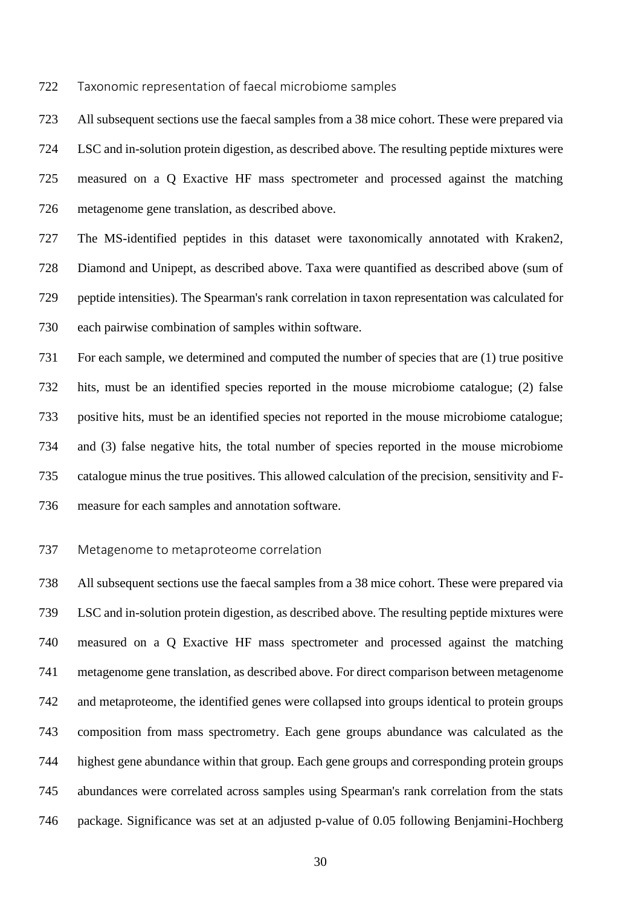Taxonomic representation of faecal microbiome samples

 All subsequent sections use the faecal samples from a 38 mice cohort. These were prepared via LSC and in-solution protein digestion, as described above. The resulting peptide mixtures were measured on a Q Exactive HF mass spectrometer and processed against the matching metagenome gene translation, as described above.

 The MS-identified peptides in this dataset were taxonomically annotated with Kraken2, Diamond and Unipept, as described above. Taxa were quantified as described above (sum of peptide intensities). The Spearman's rank correlation in taxon representation was calculated for each pairwise combination of samples within software.

 For each sample, we determined and computed the number of species that are (1) true positive hits, must be an identified species reported in the mouse microbiome catalogue; (2) false positive hits, must be an identified species not reported in the mouse microbiome catalogue; and (3) false negative hits, the total number of species reported in the mouse microbiome catalogue minus the true positives. This allowed calculation of the precision, sensitivity and F-measure for each samples and annotation software.

#### Metagenome to metaproteome correlation

 All subsequent sections use the faecal samples from a 38 mice cohort. These were prepared via LSC and in-solution protein digestion, as described above. The resulting peptide mixtures were measured on a Q Exactive HF mass spectrometer and processed against the matching metagenome gene translation, as described above. For direct comparison between metagenome and metaproteome, the identified genes were collapsed into groups identical to protein groups composition from mass spectrometry. Each gene groups abundance was calculated as the highest gene abundance within that group. Each gene groups and corresponding protein groups abundances were correlated across samples using Spearman's rank correlation from the stats package. Significance was set at an adjusted p-value of 0.05 following Benjamini-Hochberg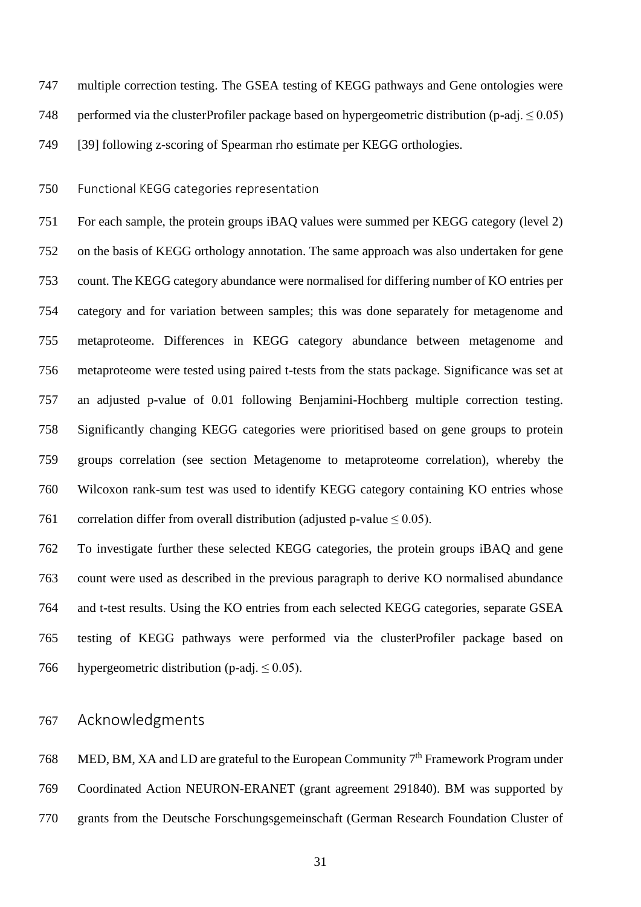multiple correction testing. The GSEA testing of KEGG pathways and Gene ontologies were

748 performed via the clusterProfiler package based on hypergeometric distribution (p-adj.  $\leq 0.05$ )

[39] following z-scoring of Spearman rho estimate per KEGG orthologies.

Functional KEGG categories representation

 For each sample, the protein groups iBAQ values were summed per KEGG category (level 2) on the basis of KEGG orthology annotation. The same approach was also undertaken for gene count. The KEGG category abundance were normalised for differing number of KO entries per category and for variation between samples; this was done separately for metagenome and metaproteome. Differences in KEGG category abundance between metagenome and metaproteome were tested using paired t-tests from the stats package. Significance was set at an adjusted p-value of 0.01 following Benjamini-Hochberg multiple correction testing. Significantly changing KEGG categories were prioritised based on gene groups to protein groups correlation (see section Metagenome to metaproteome correlation), whereby the Wilcoxon rank-sum test was used to identify KEGG category containing KO entries whose 761 correlation differ from overall distribution (adjusted p-value  $\leq 0.05$ ).

 To investigate further these selected KEGG categories, the protein groups iBAQ and gene count were used as described in the previous paragraph to derive KO normalised abundance and t-test results. Using the KO entries from each selected KEGG categories, separate GSEA testing of KEGG pathways were performed via the clusterProfiler package based on 766 hypergeometric distribution (p-adj.  $\leq 0.05$ ).

# Acknowledgments

768 MED, BM, XA and LD are grateful to the European Community  $7<sup>th</sup>$  Framework Program under Coordinated Action NEURON-ERANET (grant agreement 291840). BM was supported by grants from the Deutsche Forschungsgemeinschaft (German Research Foundation Cluster of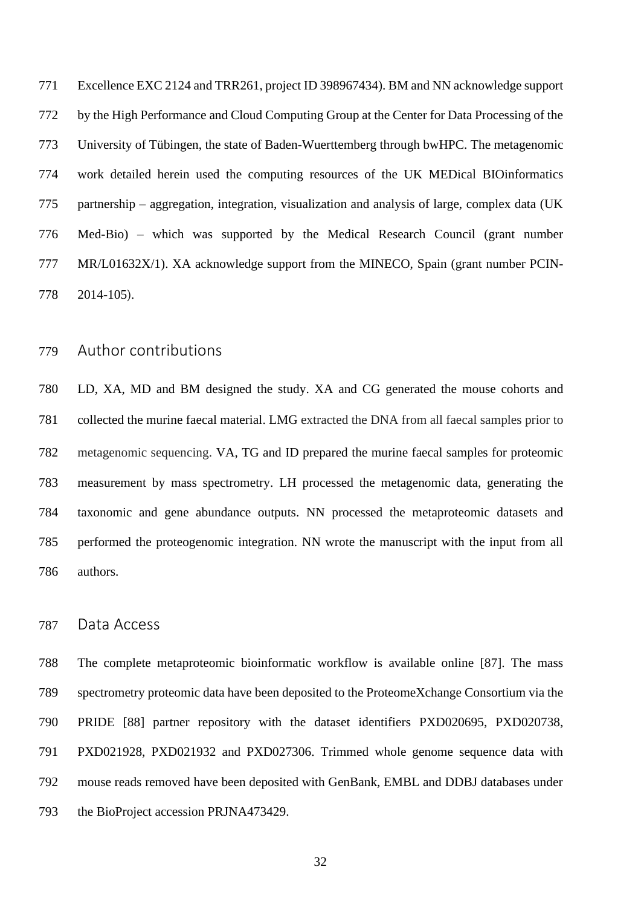Excellence EXC 2124 and TRR261, project ID 398967434). BM and NN acknowledge support by the High Performance and Cloud Computing Group at the Center for Data Processing of the University of Tübingen, the state of Baden-Wuerttemberg through bwHPC. The metagenomic work detailed herein used the computing resources of the UK MEDical BIOinformatics partnership – aggregation, integration, visualization and analysis of large, complex data (UK Med-Bio) – which was supported by the Medical Research Council (grant number MR/L01632X/1). XA acknowledge support from the MINECO, Spain (grant number PCIN-2014-105).

# Author contributions

 LD, XA, MD and BM designed the study. XA and CG generated the mouse cohorts and collected the murine faecal material. LMG extracted the DNA from all faecal samples prior to metagenomic sequencing. VA, TG and ID prepared the murine faecal samples for proteomic measurement by mass spectrometry. LH processed the metagenomic data, generating the taxonomic and gene abundance outputs. NN processed the metaproteomic datasets and performed the proteogenomic integration. NN wrote the manuscript with the input from all authors.

# Data Access

 The complete metaproteomic bioinformatic workflow is available online [87]. The mass spectrometry proteomic data have been deposited to the ProteomeXchange Consortium via the PRIDE [88] partner repository with the dataset identifiers PXD020695, PXD020738, PXD021928, PXD021932 and PXD027306. Trimmed whole genome sequence data with mouse reads removed have been deposited with GenBank, EMBL and DDBJ databases under the BioProject accession PRJNA473429.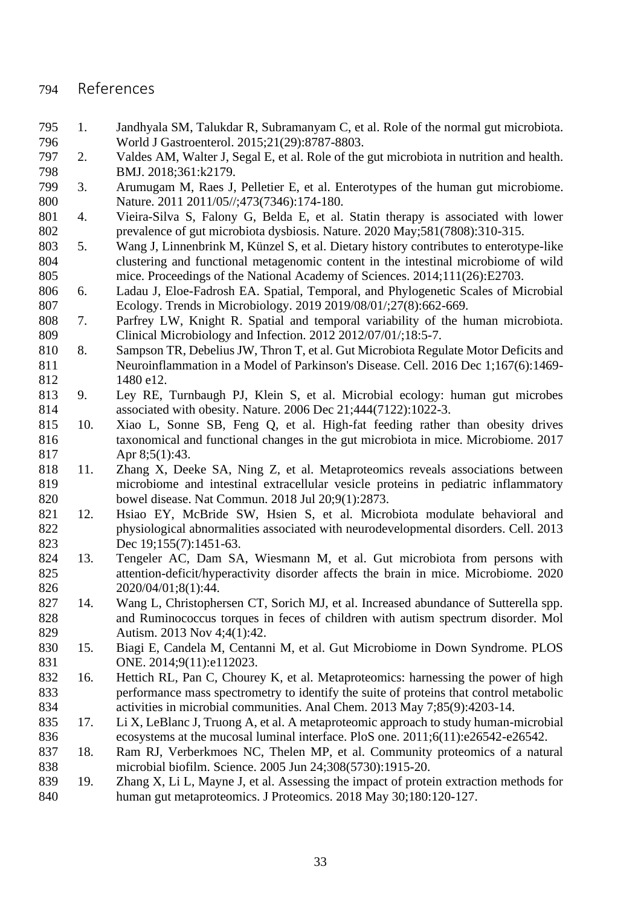# References

- 1. Jandhyala SM, Talukdar R, Subramanyam C, et al. Role of the normal gut microbiota. World J Gastroenterol. 2015;21(29):8787-8803.
- 2. Valdes AM, Walter J, Segal E, et al. Role of the gut microbiota in nutrition and health. BMJ. 2018;361:k2179.
- 3. Arumugam M, Raes J, Pelletier E, et al. Enterotypes of the human gut microbiome. Nature. 2011 2011/05//;473(7346):174-180.
- 4. Vieira-Silva S, Falony G, Belda E, et al. Statin therapy is associated with lower prevalence of gut microbiota dysbiosis. Nature. 2020 May;581(7808):310-315.
- 5. Wang J, Linnenbrink M, Künzel S, et al. Dietary history contributes to enterotype-like clustering and functional metagenomic content in the intestinal microbiome of wild mice. Proceedings of the National Academy of Sciences. 2014;111(26):E2703.
- 6. Ladau J, Eloe-Fadrosh EA. Spatial, Temporal, and Phylogenetic Scales of Microbial Ecology. Trends in Microbiology. 2019 2019/08/01/;27(8):662-669.
- 7. Parfrey LW, Knight R. Spatial and temporal variability of the human microbiota. Clinical Microbiology and Infection. 2012 2012/07/01/;18:5-7.
- 8. Sampson TR, Debelius JW, Thron T, et al. Gut Microbiota Regulate Motor Deficits and Neuroinflammation in a Model of Parkinson's Disease. Cell. 2016 Dec 1;167(6):1469- 1480 e12.
- 9. Ley RE, Turnbaugh PJ, Klein S, et al. Microbial ecology: human gut microbes associated with obesity. Nature. 2006 Dec 21;444(7122):1022-3.
- 10. Xiao L, Sonne SB, Feng Q, et al. High-fat feeding rather than obesity drives taxonomical and functional changes in the gut microbiota in mice. Microbiome. 2017 Apr 8;5(1):43.
- 11. Zhang X, Deeke SA, Ning Z, et al. Metaproteomics reveals associations between microbiome and intestinal extracellular vesicle proteins in pediatric inflammatory bowel disease. Nat Commun. 2018 Jul 20;9(1):2873.
- 12. Hsiao EY, McBride SW, Hsien S, et al. Microbiota modulate behavioral and physiological abnormalities associated with neurodevelopmental disorders. Cell. 2013 823 Dec 19:155(7):1451-63.
- 13. Tengeler AC, Dam SA, Wiesmann M, et al. Gut microbiota from persons with attention-deficit/hyperactivity disorder affects the brain in mice. Microbiome. 2020 2020/04/01;8(1):44.
- 14. Wang L, Christophersen CT, Sorich MJ, et al. Increased abundance of Sutterella spp. and Ruminococcus torques in feces of children with autism spectrum disorder. Mol Autism. 2013 Nov 4;4(1):42.
- 15. Biagi E, Candela M, Centanni M, et al. Gut Microbiome in Down Syndrome. PLOS **ONE.** 2014;9(11):e112023.
- 16. Hettich RL, Pan C, Chourey K, et al. Metaproteomics: harnessing the power of high performance mass spectrometry to identify the suite of proteins that control metabolic activities in microbial communities. Anal Chem. 2013 May 7;85(9):4203-14.
- 17. Li X, LeBlanc J, Truong A, et al. A metaproteomic approach to study human-microbial ecosystems at the mucosal luminal interface. PloS one. 2011;6(11):e26542-e26542.
- 18. Ram RJ, Verberkmoes NC, Thelen MP, et al. Community proteomics of a natural microbial biofilm. Science. 2005 Jun 24;308(5730):1915-20.
- 19. Zhang X, Li L, Mayne J, et al. Assessing the impact of protein extraction methods for human gut metaproteomics. J Proteomics. 2018 May 30;180:120-127.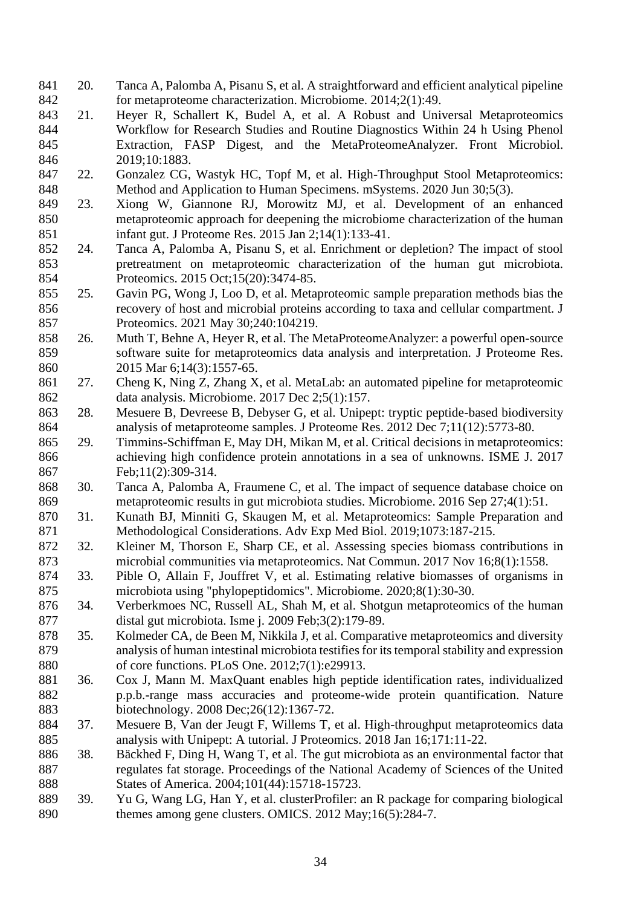- 20. Tanca A, Palomba A, Pisanu S, et al. A straightforward and efficient analytical pipeline for metaproteome characterization. Microbiome. 2014;2(1):49.
- 21. Heyer R, Schallert K, Budel A, et al. A Robust and Universal Metaproteomics Workflow for Research Studies and Routine Diagnostics Within 24 h Using Phenol Extraction, FASP Digest, and the MetaProteomeAnalyzer. Front Microbiol. 2019;10:1883.
- 22. Gonzalez CG, Wastyk HC, Topf M, et al. High-Throughput Stool Metaproteomics: Method and Application to Human Specimens. mSystems. 2020 Jun 30;5(3).
- 23. Xiong W, Giannone RJ, Morowitz MJ, et al. Development of an enhanced metaproteomic approach for deepening the microbiome characterization of the human infant gut. J Proteome Res. 2015 Jan 2;14(1):133-41.
- 24. Tanca A, Palomba A, Pisanu S, et al. Enrichment or depletion? The impact of stool pretreatment on metaproteomic characterization of the human gut microbiota. Proteomics. 2015 Oct;15(20):3474-85.
- 25. Gavin PG, Wong J, Loo D, et al. Metaproteomic sample preparation methods bias the recovery of host and microbial proteins according to taxa and cellular compartment. J Proteomics. 2021 May 30;240:104219.
- 26. Muth T, Behne A, Heyer R, et al. The MetaProteomeAnalyzer: a powerful open-source software suite for metaproteomics data analysis and interpretation. J Proteome Res. 2015 Mar 6;14(3):1557-65.
- 27. Cheng K, Ning Z, Zhang X, et al. MetaLab: an automated pipeline for metaproteomic data analysis. Microbiome. 2017 Dec 2;5(1):157.
- 28. Mesuere B, Devreese B, Debyser G, et al. Unipept: tryptic peptide-based biodiversity analysis of metaproteome samples. J Proteome Res. 2012 Dec 7;11(12):5773-80.
- 29. Timmins-Schiffman E, May DH, Mikan M, et al. Critical decisions in metaproteomics: achieving high confidence protein annotations in a sea of unknowns. ISME J. 2017 Feb;11(2):309-314.
- 30. Tanca A, Palomba A, Fraumene C, et al. The impact of sequence database choice on metaproteomic results in gut microbiota studies. Microbiome. 2016 Sep 27;4(1):51.
- 31. Kunath BJ, Minniti G, Skaugen M, et al. Metaproteomics: Sample Preparation and Methodological Considerations. Adv Exp Med Biol. 2019;1073:187-215.
- 32. Kleiner M, Thorson E, Sharp CE, et al. Assessing species biomass contributions in microbial communities via metaproteomics. Nat Commun. 2017 Nov 16;8(1):1558.
- 33. Pible O, Allain F, Jouffret V, et al. Estimating relative biomasses of organisms in 875 microbiota using "phylopeptidomics". Microbiome. 2020;8(1):30-30.
- 34. Verberkmoes NC, Russell AL, Shah M, et al. Shotgun metaproteomics of the human distal gut microbiota. Isme j. 2009 Feb;3(2):179-89.
- 35. Kolmeder CA, de Been M, Nikkila J, et al. Comparative metaproteomics and diversity analysis of human intestinal microbiota testifies for its temporal stability and expression of core functions. PLoS One. 2012;7(1):e29913.
- 36. Cox J, Mann M. MaxQuant enables high peptide identification rates, individualized p.p.b.-range mass accuracies and proteome-wide protein quantification. Nature biotechnology. 2008 Dec;26(12):1367-72.
- 37. Mesuere B, Van der Jeugt F, Willems T, et al. High-throughput metaproteomics data analysis with Unipept: A tutorial. J Proteomics. 2018 Jan 16;171:11-22.
- 38. Bäckhed F, Ding H, Wang T, et al. The gut microbiota as an environmental factor that regulates fat storage. Proceedings of the National Academy of Sciences of the United States of America. 2004;101(44):15718-15723.
- 39. Yu G, Wang LG, Han Y, et al. clusterProfiler: an R package for comparing biological 890 themes among gene clusters. OMICS. 2012 May;16(5):284-7.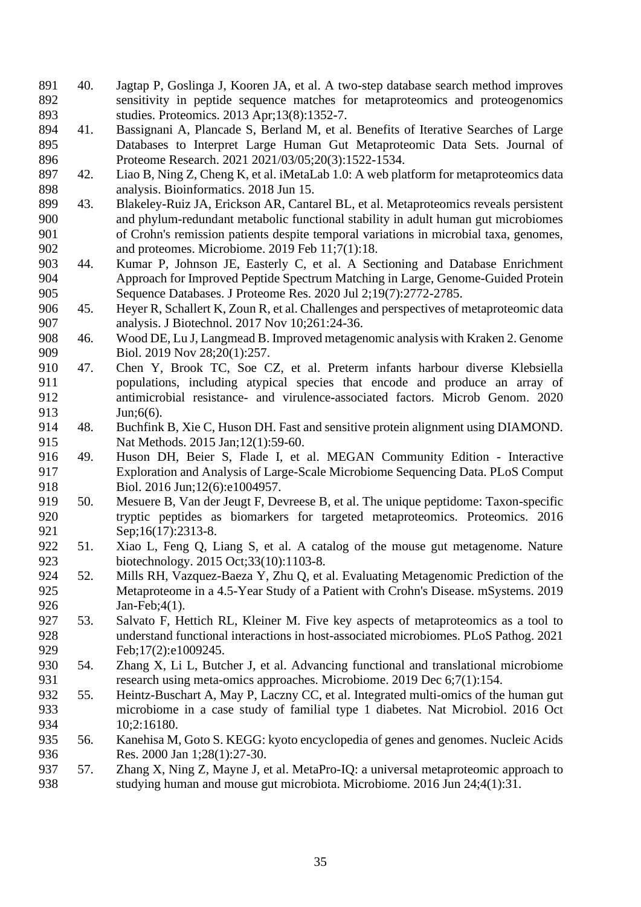- 40. Jagtap P, Goslinga J, Kooren JA, et al. A two-step database search method improves sensitivity in peptide sequence matches for metaproteomics and proteogenomics studies. Proteomics. 2013 Apr;13(8):1352-7.
- 41. Bassignani A, Plancade S, Berland M, et al. Benefits of Iterative Searches of Large Databases to Interpret Large Human Gut Metaproteomic Data Sets. Journal of Proteome Research. 2021 2021/03/05;20(3):1522-1534.
- 42. Liao B, Ning Z, Cheng K, et al. iMetaLab 1.0: A web platform for metaproteomics data analysis. Bioinformatics. 2018 Jun 15.
- 43. Blakeley-Ruiz JA, Erickson AR, Cantarel BL, et al. Metaproteomics reveals persistent and phylum-redundant metabolic functional stability in adult human gut microbiomes of Crohn's remission patients despite temporal variations in microbial taxa, genomes, and proteomes. Microbiome. 2019 Feb 11;7(1):18.
- 44. Kumar P, Johnson JE, Easterly C, et al. A Sectioning and Database Enrichment Approach for Improved Peptide Spectrum Matching in Large, Genome-Guided Protein Sequence Databases. J Proteome Res. 2020 Jul 2;19(7):2772-2785.
- 45. Heyer R, Schallert K, Zoun R, et al. Challenges and perspectives of metaproteomic data analysis. J Biotechnol. 2017 Nov 10;261:24-36.
- 46. Wood DE, Lu J, Langmead B. Improved metagenomic analysis with Kraken 2. Genome 909 Biol. 2019 Nov 28:20(1):257.
- 47. Chen Y, Brook TC, Soe CZ, et al. Preterm infants harbour diverse Klebsiella populations, including atypical species that encode and produce an array of antimicrobial resistance- and virulence-associated factors. Microb Genom. 2020 Jun;6(6).
- 48. Buchfink B, Xie C, Huson DH. Fast and sensitive protein alignment using DIAMOND. Nat Methods. 2015 Jan;12(1):59-60.
- 49. Huson DH, Beier S, Flade I, et al. MEGAN Community Edition Interactive Exploration and Analysis of Large-Scale Microbiome Sequencing Data. PLoS Comput 918 Biol. 2016 Jun; 12(6): e1004957.
- 50. Mesuere B, Van der Jeugt F, Devreese B, et al. The unique peptidome: Taxon-specific tryptic peptides as biomarkers for targeted metaproteomics. Proteomics. 2016 921 Sep;16(17):2313-8.
- 51. Xiao L, Feng Q, Liang S, et al. A catalog of the mouse gut metagenome. Nature biotechnology. 2015 Oct;33(10):1103-8.
- 52. Mills RH, Vazquez-Baeza Y, Zhu Q, et al. Evaluating Metagenomic Prediction of the Metaproteome in a 4.5-Year Study of a Patient with Crohn's Disease. mSystems. 2019 Jan-Feb;4(1).
- 53. Salvato F, Hettich RL, Kleiner M. Five key aspects of metaproteomics as a tool to understand functional interactions in host-associated microbiomes. PLoS Pathog. 2021 929 Feb;17(2):e1009245.
- 54. Zhang X, Li L, Butcher J, et al. Advancing functional and translational microbiome 931 research using meta-omics approaches. Microbiome. 2019 Dec 6:7(1):154.
- 55. Heintz-Buschart A, May P, Laczny CC, et al. Integrated multi-omics of the human gut microbiome in a case study of familial type 1 diabetes. Nat Microbiol. 2016 Oct 10;2:16180.
- 56. Kanehisa M, Goto S. KEGG: kyoto encyclopedia of genes and genomes. Nucleic Acids 936 Res. 2000 Jan 1;28(1):27-30.
- 57. Zhang X, Ning Z, Mayne J, et al. MetaPro-IQ: a universal metaproteomic approach to studying human and mouse gut microbiota. Microbiome. 2016 Jun 24;4(1):31.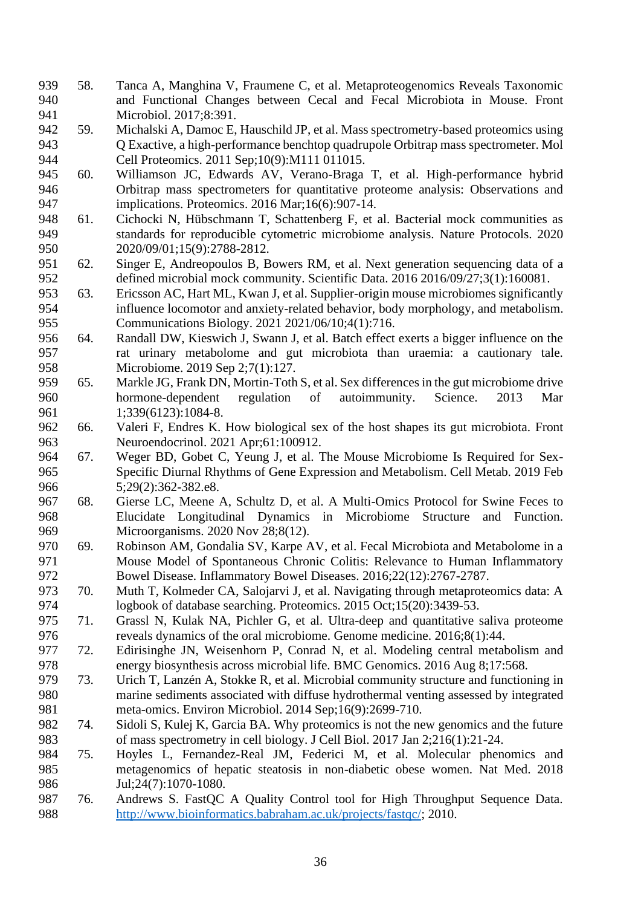- 58. Tanca A, Manghina V, Fraumene C, et al. Metaproteogenomics Reveals Taxonomic and Functional Changes between Cecal and Fecal Microbiota in Mouse. Front Microbiol. 2017;8:391.
- 59. Michalski A, Damoc E, Hauschild JP, et al. Mass spectrometry-based proteomics using Q Exactive, a high-performance benchtop quadrupole Orbitrap mass spectrometer. Mol Cell Proteomics. 2011 Sep;10(9):M111 011015.
- 60. Williamson JC, Edwards AV, Verano-Braga T, et al. High-performance hybrid Orbitrap mass spectrometers for quantitative proteome analysis: Observations and implications. Proteomics. 2016 Mar;16(6):907-14.
- 61. Cichocki N, Hübschmann T, Schattenberg F, et al. Bacterial mock communities as standards for reproducible cytometric microbiome analysis. Nature Protocols. 2020 2020/09/01;15(9):2788-2812.
- 62. Singer E, Andreopoulos B, Bowers RM, et al. Next generation sequencing data of a defined microbial mock community. Scientific Data. 2016 2016/09/27;3(1):160081.
- 63. Ericsson AC, Hart ML, Kwan J, et al. Supplier-origin mouse microbiomes significantly influence locomotor and anxiety-related behavior, body morphology, and metabolism. Communications Biology. 2021 2021/06/10;4(1):716.
- 64. Randall DW, Kieswich J, Swann J, et al. Batch effect exerts a bigger influence on the rat urinary metabolome and gut microbiota than uraemia: a cautionary tale. 958 Microbiome. 2019 Sep 2;7(1):127.
- 65. Markle JG, Frank DN, Mortin-Toth S, et al. Sex differences in the gut microbiome drive hormone-dependent regulation of autoimmunity. Science. 2013 Mar 961 1;339(6123):1084-8.
- 66. Valeri F, Endres K. How biological sex of the host shapes its gut microbiota. Front Neuroendocrinol. 2021 Apr;61:100912.
- 67. Weger BD, Gobet C, Yeung J, et al. The Mouse Microbiome Is Required for Sex- Specific Diurnal Rhythms of Gene Expression and Metabolism. Cell Metab. 2019 Feb 5;29(2):362-382.e8.
- 68. Gierse LC, Meene A, Schultz D, et al. A Multi-Omics Protocol for Swine Feces to Elucidate Longitudinal Dynamics in Microbiome Structure and Function. Microorganisms. 2020 Nov 28;8(12).
- 69. Robinson AM, Gondalia SV, Karpe AV, et al. Fecal Microbiota and Metabolome in a Mouse Model of Spontaneous Chronic Colitis: Relevance to Human Inflammatory Bowel Disease. Inflammatory Bowel Diseases. 2016;22(12):2767-2787.
- 70. Muth T, Kolmeder CA, Salojarvi J, et al. Navigating through metaproteomics data: A logbook of database searching. Proteomics. 2015 Oct;15(20):3439-53.
- 71. Grassl N, Kulak NA, Pichler G, et al. Ultra-deep and quantitative saliva proteome reveals dynamics of the oral microbiome. Genome medicine. 2016;8(1):44.
- 72. Edirisinghe JN, Weisenhorn P, Conrad N, et al. Modeling central metabolism and energy biosynthesis across microbial life. BMC Genomics. 2016 Aug 8;17:568.
- 73. Urich T, Lanzén A, Stokke R, et al. Microbial community structure and functioning in marine sediments associated with diffuse hydrothermal venting assessed by integrated meta-omics. Environ Microbiol. 2014 Sep;16(9):2699-710.
- 74. Sidoli S, Kulej K, Garcia BA. Why proteomics is not the new genomics and the future of mass spectrometry in cell biology. J Cell Biol. 2017 Jan 2;216(1):21-24.
- 75. Hoyles L, Fernandez-Real JM, Federici M, et al. Molecular phenomics and metagenomics of hepatic steatosis in non-diabetic obese women. Nat Med. 2018 986 Jul;24(7):1070-1080.
- 76. Andrews S. FastQC A Quality Control tool for High Throughput Sequence Data. [http://www.bioinformatics.babraham.ac.uk/projects/fastqc/;](http://www.bioinformatics.babraham.ac.uk/projects/fastqc/) 2010.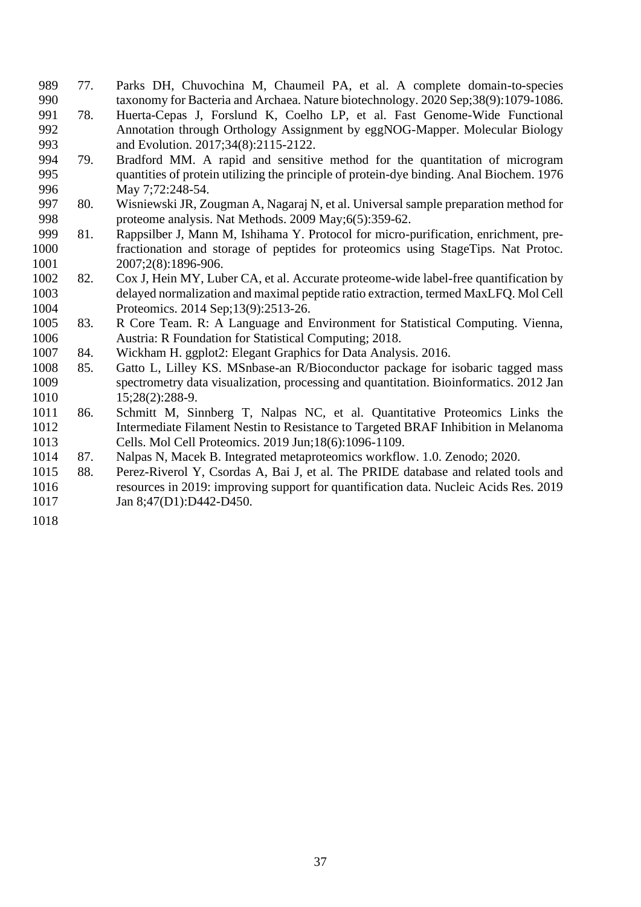- 77. Parks DH, Chuvochina M, Chaumeil PA, et al. A complete domain-to-species taxonomy for Bacteria and Archaea. Nature biotechnology. 2020 Sep;38(9):1079-1086.
- 78. Huerta-Cepas J, Forslund K, Coelho LP, et al. Fast Genome-Wide Functional Annotation through Orthology Assignment by eggNOG-Mapper. Molecular Biology 993 and Evolution. 2017;34(8):2115-2122.
- 79. Bradford MM. A rapid and sensitive method for the quantitation of microgram quantities of protein utilizing the principle of protein-dye binding. Anal Biochem. 1976 996 May 7:72:248-54.
- 80. Wisniewski JR, Zougman A, Nagaraj N, et al. Universal sample preparation method for proteome analysis. Nat Methods. 2009 May;6(5):359-62.
- 81. Rappsilber J, Mann M, Ishihama Y. Protocol for micro-purification, enrichment, pre- fractionation and storage of peptides for proteomics using StageTips. Nat Protoc. 2007;2(8):1896-906.
- 82. Cox J, Hein MY, Luber CA, et al. Accurate proteome-wide label-free quantification by delayed normalization and maximal peptide ratio extraction, termed MaxLFQ. Mol Cell Proteomics. 2014 Sep;13(9):2513-26.
- 83. R Core Team. R: A Language and Environment for Statistical Computing. Vienna, Austria: R Foundation for Statistical Computing; 2018.
- 84. Wickham H. ggplot2: Elegant Graphics for Data Analysis. 2016.
- 85. Gatto L, Lilley KS. MSnbase-an R/Bioconductor package for isobaric tagged mass spectrometry data visualization, processing and quantitation. Bioinformatics. 2012 Jan 15;28(2):288-9.
- 86. Schmitt M, Sinnberg T, Nalpas NC, et al. Quantitative Proteomics Links the Intermediate Filament Nestin to Resistance to Targeted BRAF Inhibition in Melanoma Cells. Mol Cell Proteomics. 2019 Jun;18(6):1096-1109.
- 87. Nalpas N, Macek B. Integrated metaproteomics workflow. 1.0. Zenodo; 2020.
- 88. Perez-Riverol Y, Csordas A, Bai J, et al. The PRIDE database and related tools and resources in 2019: improving support for quantification data. Nucleic Acids Res. 2019 1017 Jan 8:47(D1):D442-D450.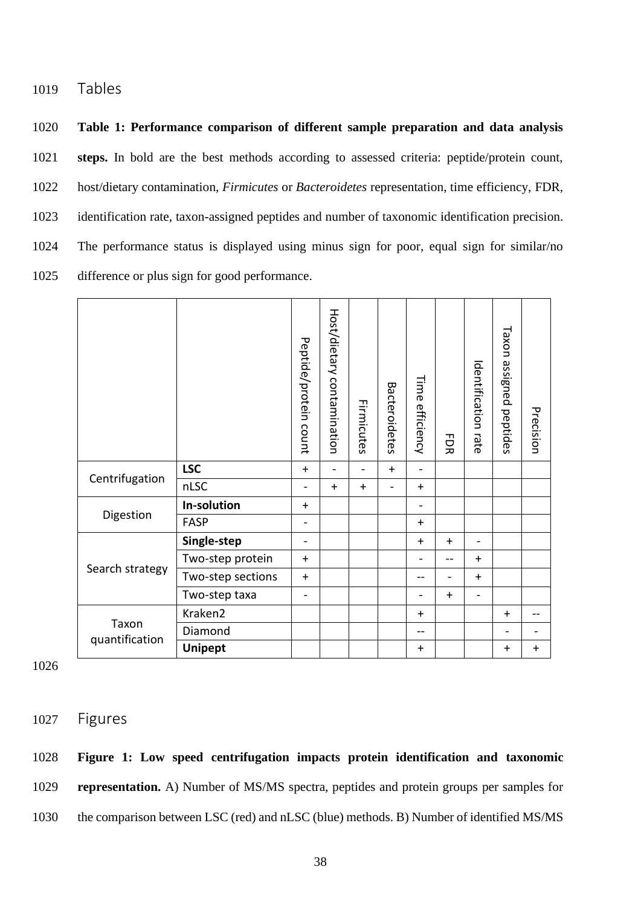1019 Tables

 **Table 1: Performance comparison of different sample preparation and data analysis steps.** In bold are the best methods according to assessed criteria: peptide/protein count, host/dietary contamination, *Firmicutes* or *Bacteroidetes* representation, time efficiency, FDR, identification rate, taxon-assigned peptides and number of taxonomic identification precision. The performance status is displayed using minus sign for poor, equal sign for similar/no difference or plus sign for good performance.

|                         |                   | Peptide/protein count    | Host/dietary contamination | Firmicutes | Bacteroidetes | Time<br>efficiency       | $\Xi$<br>ぁ               | <b>dentification</b><br>rate | Taxon<br>assigned<br>peptides | Precision  |
|-------------------------|-------------------|--------------------------|----------------------------|------------|---------------|--------------------------|--------------------------|------------------------------|-------------------------------|------------|
| Centrifugation          | <b>LSC</b>        | $+$                      | $\overline{a}$             |            | $+$           | $\overline{\phantom{0}}$ |                          |                              |                               |            |
|                         | nLSC              |                          | $+$                        | $+$        |               | $\ddot{}$                |                          |                              |                               |            |
| Digestion               | In-solution       | $\ddot{}$                |                            |            |               | $\overline{\phantom{0}}$ |                          |                              |                               |            |
|                         | <b>FASP</b>       | $\overline{\phantom{a}}$ |                            |            |               | $+$                      |                          |                              |                               |            |
| Search strategy         | Single-step       | $\blacksquare$           |                            |            |               | $+$                      | $+$                      | $\overline{\phantom{0}}$     |                               |            |
|                         | Two-step protein  | $\ddot{}$                |                            |            |               | $\overline{\phantom{0}}$ | --                       | $+$                          |                               |            |
|                         | Two-step sections | $+$                      |                            |            |               | --                       | $\overline{\phantom{0}}$ | $+$                          |                               |            |
|                         | Two-step taxa     | $\overline{\phantom{a}}$ |                            |            |               | $\overline{\phantom{0}}$ | $+$                      | $\overline{\phantom{0}}$     |                               |            |
| Taxon<br>quantification | Kraken2           |                          |                            |            |               | $\ddot{}$                |                          |                              | $+$                           | $-$        |
|                         | Diamond           |                          |                            |            |               | --                       |                          |                              |                               |            |
|                         | <b>Unipept</b>    |                          |                            |            |               | $+$                      |                          |                              | $+$                           | $\ddagger$ |

1026

1027 Figures

1028 **Figure 1: Low speed centrifugation impacts protein identification and taxonomic**  1029 **representation.** A) Number of MS/MS spectra, peptides and protein groups per samples for 1030 the comparison between LSC (red) and nLSC (blue) methods. B) Number of identified MS/MS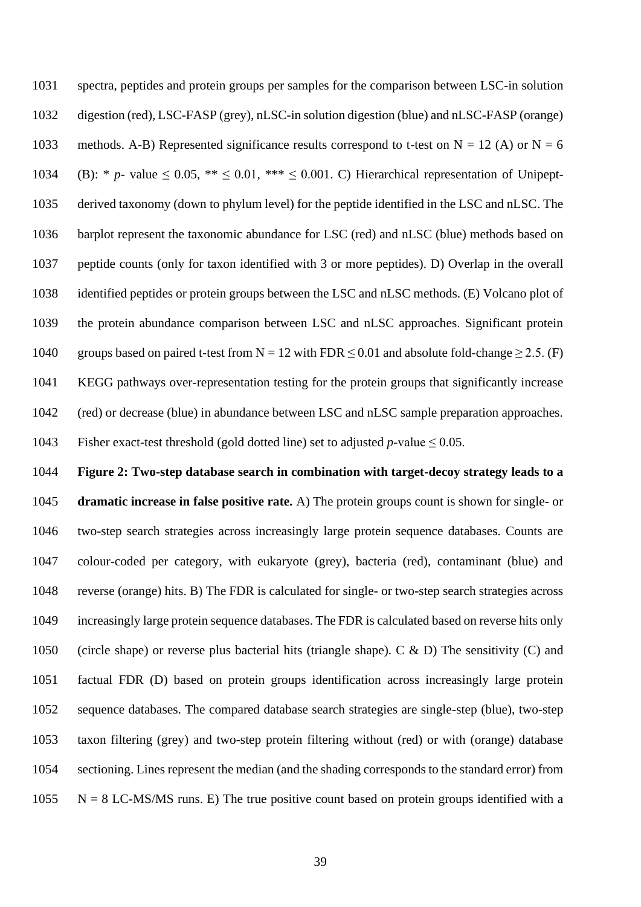spectra, peptides and protein groups per samples for the comparison between LSC-in solution digestion (red), LSC-FASP (grey), nLSC-in solution digestion (blue) and nLSC-FASP (orange) 1033 methods. A-B) Represented significance results correspond to t-test on  $N = 12$  (A) or  $N = 6$ 1034 (B): \* *p*- value  $\leq 0.05$ , \*\*  $\leq 0.01$ , \*\*\*  $\leq 0.001$ . C) Hierarchical representation of Unipept- derived taxonomy (down to phylum level) for the peptide identified in the LSC and nLSC. The barplot represent the taxonomic abundance for LSC (red) and nLSC (blue) methods based on peptide counts (only for taxon identified with 3 or more peptides). D) Overlap in the overall identified peptides or protein groups between the LSC and nLSC methods. (E) Volcano plot of the protein abundance comparison between LSC and nLSC approaches. Significant protein 1040 groups based on paired t-test from  $N = 12$  with FDR  $\leq 0.01$  and absolute fold-change  $\geq 2.5$ . (F) KEGG pathways over-representation testing for the protein groups that significantly increase (red) or decrease (blue) in abundance between LSC and nLSC sample preparation approaches. Fisher exact-test threshold (gold dotted line) set to adjusted *p*-value ≤ 0.05.

 **Figure 2: Two-step database search in combination with target-decoy strategy leads to a dramatic increase in false positive rate.** A) The protein groups count is shown for single- or two-step search strategies across increasingly large protein sequence databases. Counts are colour-coded per category, with eukaryote (grey), bacteria (red), contaminant (blue) and reverse (orange) hits. B) The FDR is calculated for single- or two-step search strategies across increasingly large protein sequence databases. The FDR is calculated based on reverse hits only (circle shape) or reverse plus bacterial hits (triangle shape). C & D) The sensitivity (C) and factual FDR (D) based on protein groups identification across increasingly large protein sequence databases. The compared database search strategies are single-step (blue), two-step taxon filtering (grey) and two-step protein filtering without (red) or with (orange) database sectioning. Lines represent the median (and the shading corresponds to the standard error) from N = 8 LC-MS/MS runs. E) The true positive count based on protein groups identified with a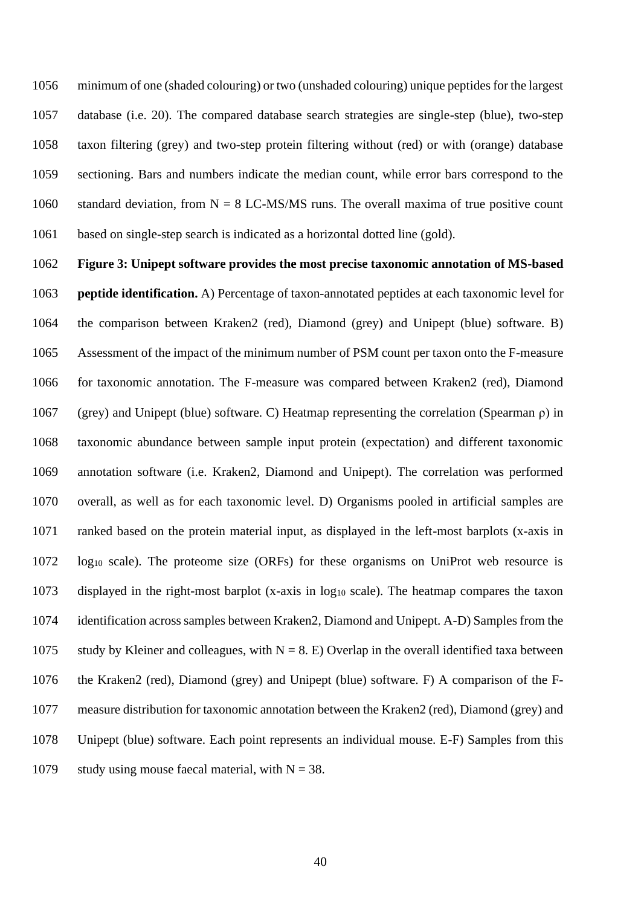minimum of one (shaded colouring) or two (unshaded colouring) unique peptides for the largest database (i.e. 20). The compared database search strategies are single-step (blue), two-step taxon filtering (grey) and two-step protein filtering without (red) or with (orange) database sectioning. Bars and numbers indicate the median count, while error bars correspond to the 1060 standard deviation, from  $N = 8$  LC-MS/MS runs. The overall maxima of true positive count based on single-step search is indicated as a horizontal dotted line (gold).

 **Figure 3: Unipept software provides the most precise taxonomic annotation of MS-based peptide identification.** A) Percentage of taxon-annotated peptides at each taxonomic level for the comparison between Kraken2 (red), Diamond (grey) and Unipept (blue) software. B) Assessment of the impact of the minimum number of PSM count per taxon onto the F-measure for taxonomic annotation. The F-measure was compared between Kraken2 (red), Diamond (grey) and Unipept (blue) software. C) Heatmap representing the correlation (Spearman ρ) in taxonomic abundance between sample input protein (expectation) and different taxonomic annotation software (i.e. Kraken2, Diamond and Unipept). The correlation was performed overall, as well as for each taxonomic level. D) Organisms pooled in artificial samples are ranked based on the protein material input, as displayed in the left-most barplots (x-axis in log<sup>10</sup> scale). The proteome size (ORFs) for these organisms on UniProt web resource is displayed in the right-most barplot (x-axis in log<sup>10</sup> scale). The heatmap compares the taxon identification across samples between Kraken2, Diamond and Unipept. A-D) Samples from the 1075 study by Kleiner and colleagues, with  $N = 8$ . E) Overlap in the overall identified taxa between the Kraken2 (red), Diamond (grey) and Unipept (blue) software. F) A comparison of the F- measure distribution for taxonomic annotation between the Kraken2 (red), Diamond (grey) and Unipept (blue) software. Each point represents an individual mouse. E-F) Samples from this 1079 study using mouse faecal material, with  $N = 38$ .